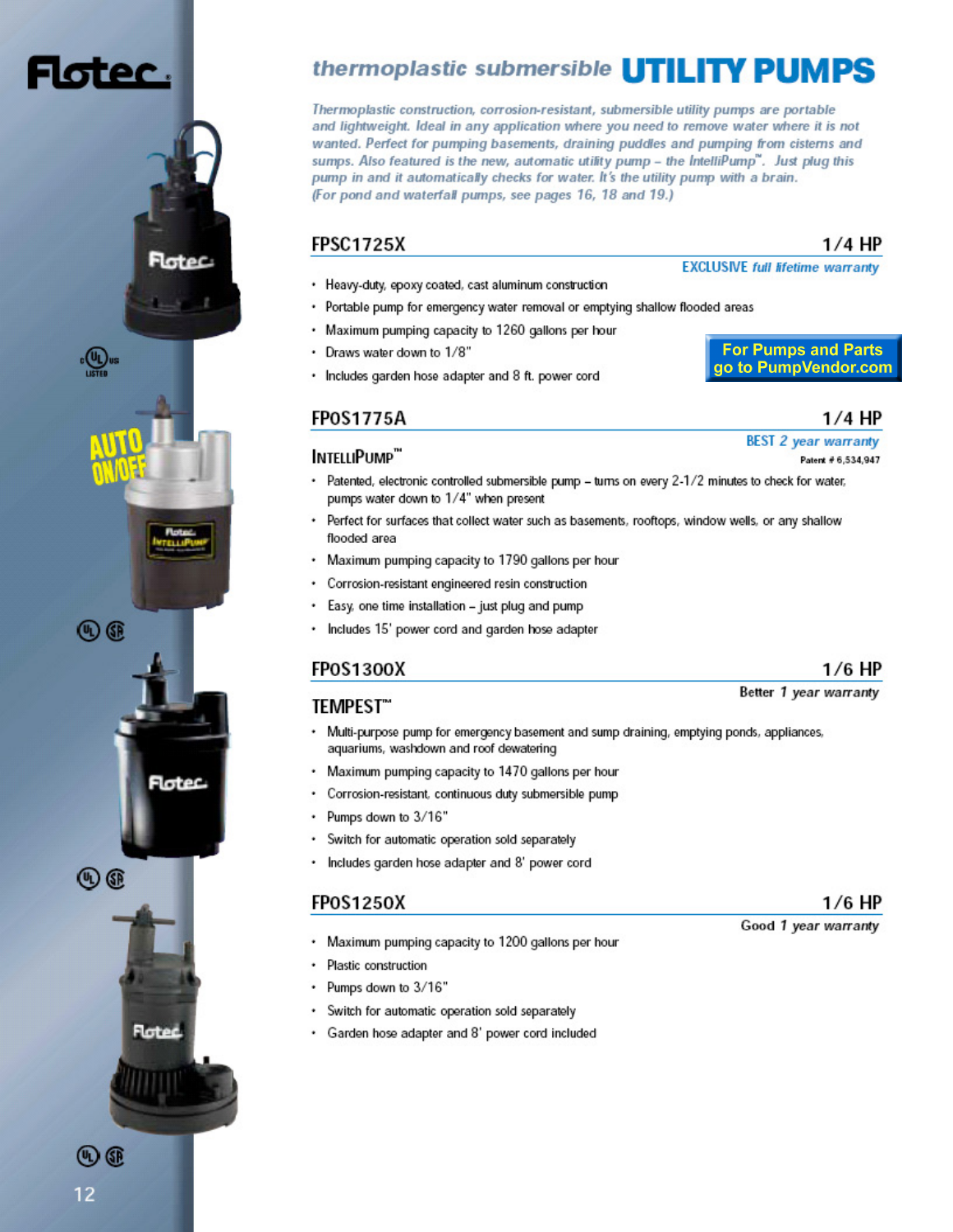# otec.

 $\cdot \mathbb{Q}$ us

 $\circledR$ 

 $\circledR$ 

Flotec

**Floted** 

latec



**FPSC1725X** 

- Portable pump for emergency water removal or emptying shallow flooded areas  $\bullet$
- . Maximum pumping capacity to 1260 gallons per hour
- · Draws water down to 1/8"
- Includes garden hose adapter and 8 ft. power cord

# FPOS1775A INTELLIPUMP"

- Patented, electronic controlled submersible pump turns on every 2-1/2 minutes to check for water, pumps water down to 1/4" when present
- Perfect for surfaces that collect water such as basements, rooftops, window wells, or any shallow ٠ flooded area
- Maximum pumping capacity to 1790 gallons per hour .
- Corrosion-resistant engineered resin construction ٠
- Easy, one time installation just plug and pump
- Includes 15' power cord and garden hose adapter

### **FPOS1300X**

### **TEMPEST**"

- Multi-purpose pump for emergency basement and sump draining, emptying ponds, appliances, ٠ aquariums, washdown and roof dewatering
- Maximum pumping capacity to 1470 gallons per hour
- Corrosion-resistant, continuous duty submersible pump
- Pumps down to 3/16" ٠
- Switch for automatic operation sold separately
- ٠ Includes garden hose adapter and 8' power cord

#### FPOS1250X

- Maximum pumping capacity to 1200 gallons per hour
- Plastic construction ٠
- Pumps down to 3/16" ٠
- Switch for automatic operation sold separately ٠
- Garden hose adapter and 8' power cord included

# thermoplastic submersible **UTILITY PUMPS**

Thermoplastic construction, corrosion-resistant, submersible utility pumps are portable and lightweight. Ideal in any application where you need to remove water where it is not wanted. Perfect for pumping basements, draining puddles and pumping from cisterns and sumps. Also featured is the new, automatic utility pump - the IntelliPump". Just plug this pump in and it automatically checks for water. It's the utility pump with a brain. (For pond and waterfall pumps, see pages 16, 18 and 19.)

### **EXCLUSIVE full lifetime warranty**

**For Pumps and Parts** go to PumpVendor.com

## 1/4 HP

 $1/4$  HP

**BEST 2 year warranty** 

Patent # 6,534,947

#### Better 1 year warranty

 $1/6$  HP

 $1/6$  HP

Good 1 year warranty

12

 $\textcircled{\tiny{R}}$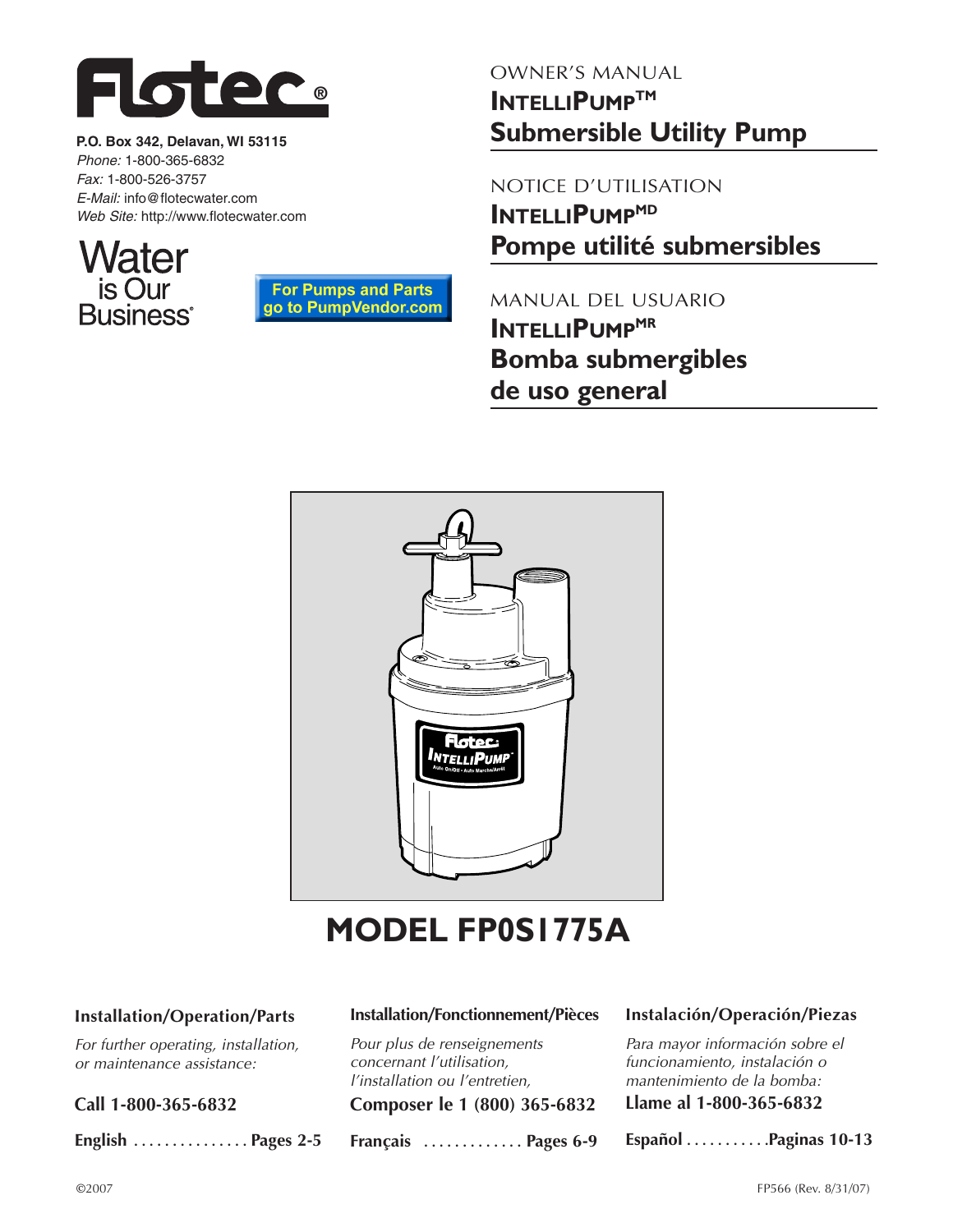

**P.O. Box 342, Delavan, WI 53115** Phone: 1-800-365-6832 Fax: 1-800-526-3757 E-Mail: info@flotecwater.com Web Site: http://www.flotecwater.com





# OWNER'S MANUAL **INTELLIPUMPTM Submersible Utility Pump**

NOTICE D'UTILISATION **INTELLIPUMP<sup>MD</sup> Pompe utilité submersibles**

MANUAL DEL USUARIO **INTELLIPUMP<sup>MR</sup> Bomba submergibles de uso general**



# **MODEL FP0S1775A**

### **Installation/Operation/Parts**

For further operating, installation, or maintenance assistance:

**Call 1-800-365-6832**

**English . . . . . . . . . . . . . . . Pages 2-5**

#### **Installation/Fonctionnement/Pièces**

Pour plus de renseignements concernant l'utilisation, l'installation ou l'entretien,

**Composer le 1 (800) 365-6832**

**Français . . . . . . . . . . . . . Pages 6-9**

#### **Instalación/Operación/Piezas**

Para mayor información sobre el funcionamiento, instalación o mantenimiento de la bomba:

**Llame al 1-800-365-6832**

**Español . . . . . . . . . . .Paginas 10-13**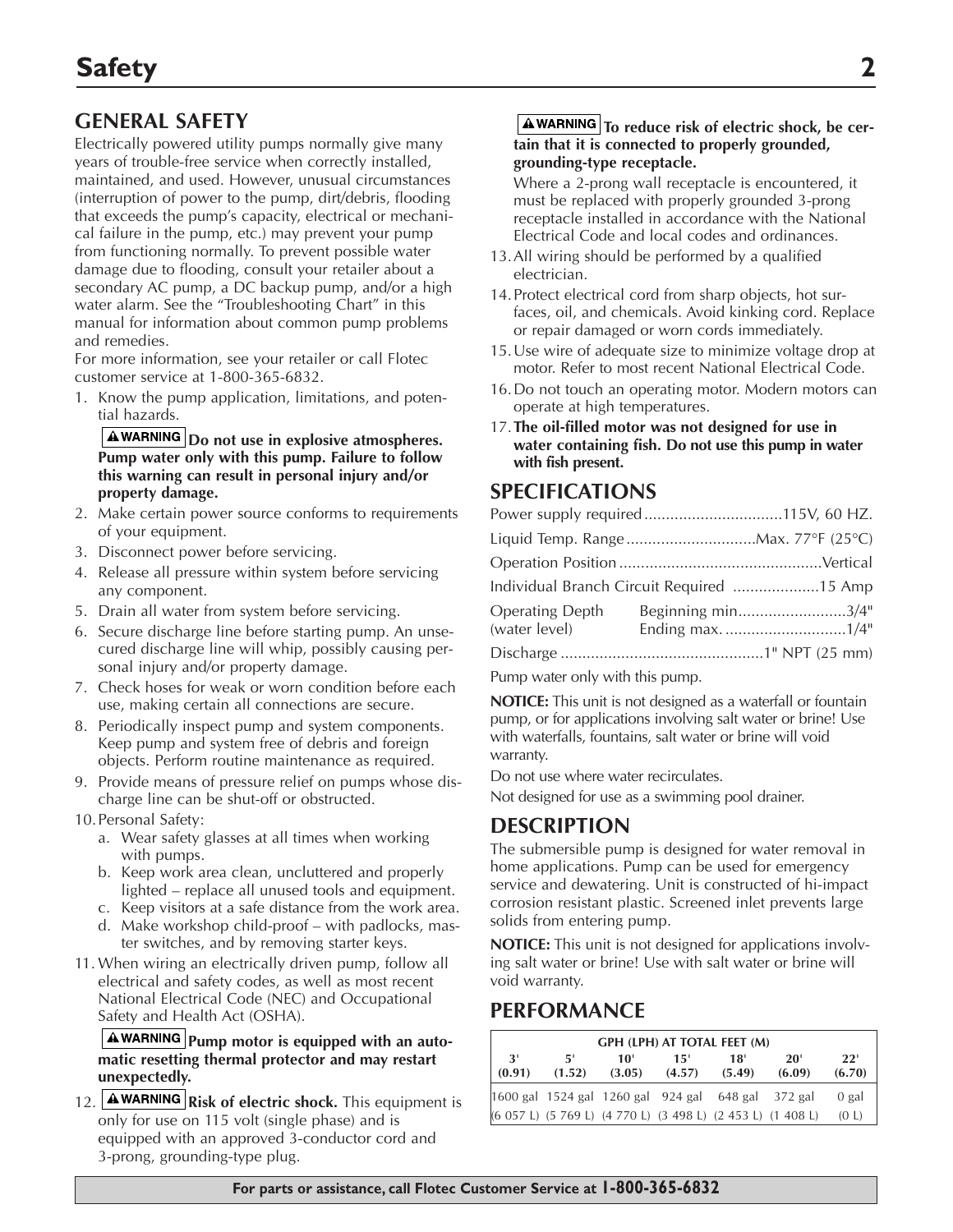# **GENERAL SAFETY**

Electrically powered utility pumps normally give many years of trouble-free service when correctly installed, maintained, and used. However, unusual circumstances (interruption of power to the pump, dirt/debris, flooding that exceeds the pump's capacity, electrical or mechanical failure in the pump, etc.) may prevent your pump from functioning normally. To prevent possible water damage due to flooding, consult your retailer about a secondary AC pump, a DC backup pump, and/or a high water alarm. See the "Troubleshooting Chart" in this manual for information about common pump problems and remedies.

For more information, see your retailer or call Flotec customer service at 1-800-365-6832.

1. Know the pump application, limitations, and potential hazards.

**A**WARNING Do not use in explosive atmospheres. **Pump water only with this pump. Failure to follow this warning can result in personal injury and/or property damage.**

- 2. Make certain power source conforms to requirements of your equipment.
- 3. Disconnect power before servicing.
- 4. Release all pressure within system before servicing any component.
- 5. Drain all water from system before servicing.
- 6. Secure discharge line before starting pump. An unsecured discharge line will whip, possibly causing personal injury and/or property damage.
- 7. Check hoses for weak or worn condition before each use, making certain all connections are secure.
- 8. Periodically inspect pump and system components. Keep pump and system free of debris and foreign objects. Perform routine maintenance as required.
- 9. Provide means of pressure relief on pumps whose discharge line can be shut-off or obstructed.
- 10.Personal Safety:
	- a. Wear safety glasses at all times when working with pumps.
	- b. Keep work area clean, uncluttered and properly lighted – replace all unused tools and equipment.
	- c. Keep visitors at a safe distance from the work area.
	- d. Make workshop child-proof with padlocks, master switches, and by removing starter keys.
- 11. When wiring an electrically driven pump, follow all electrical and safety codes, as well as most recent National Electrical Code (NEC) and Occupational Safety and Health Act (OSHA).

**A**WARNING Pump motor is equipped with an auto**matic resetting thermal protector and may restart unexpectedly.**

12. **AWARNING** Risk of electric shock. This equipment is only for use on 115 volt (single phase) and is equipped with an approved 3-conductor cord and 3-prong, grounding-type plug.

#### **AWARNING** To reduce risk of electric shock, be cer**tain that it is connected to properly grounded, grounding-type receptacle.**

Where a 2-prong wall receptacle is encountered, it must be replaced with properly grounded 3-prong receptacle installed in accordance with the National Electrical Code and local codes and ordinances.

- 13.All wiring should be performed by a qualified electrician.
- 14.Protect electrical cord from sharp objects, hot surfaces, oil, and chemicals. Avoid kinking cord. Replace or repair damaged or worn cords immediately.
- 15.Use wire of adequate size to minimize voltage drop at motor. Refer to most recent National Electrical Code.
- 16.Do not touch an operating motor. Modern motors can operate at high temperatures.
- 17.**The oil-filled motor was not designed for use in water containing fish. Do not use this pump in water with fish present.**

# **SPECIFICATIONS**

| Individual Branch Circuit Required 15 Amp |                   |
|-------------------------------------------|-------------------|
| <b>Operating Depth</b>                    | Beginning min3/4" |
|                                           |                   |
|                                           |                   |

Pump water only with this pump.

**NOTICE:** This unit is not designed as a waterfall or fountain pump, or for applications involving salt water or brine! Use with waterfalls, fountains, salt water or brine will void warranty.

Do not use where water recirculates.

Not designed for use as a swimming pool drainer.

# **DESCRIPTION**

The submersible pump is designed for water removal in home applications. Pump can be used for emergency service and dewatering. Unit is constructed of hi-impact corrosion resistant plastic. Screened inlet prevents large solids from entering pump.

**NOTICE:** This unit is not designed for applications involving salt water or brine! Use with salt water or brine will void warranty.

# **PERFORMANCE**

| GPH (LPH) AT TOTAL FEET (M) |               |               |               |                                                             |               |               |
|-----------------------------|---------------|---------------|---------------|-------------------------------------------------------------|---------------|---------------|
| 3'<br>(0.91)                | -51<br>(1.52) | 10'<br>(3.05) | 15'<br>(4.57) | 18'<br>(5.49)                                               | 20'<br>(6.09) | 22'<br>(6.70) |
|                             |               |               |               | [1600 gal 1524 gal 1260 gal 924 gal 648 gal 372 gal         |               | 0 gal         |
|                             |               |               |               | (6 057 L) (5 769 L) (4 770 L) (3 498 L) (2 453 L) (1 408 L) |               | (0 L)         |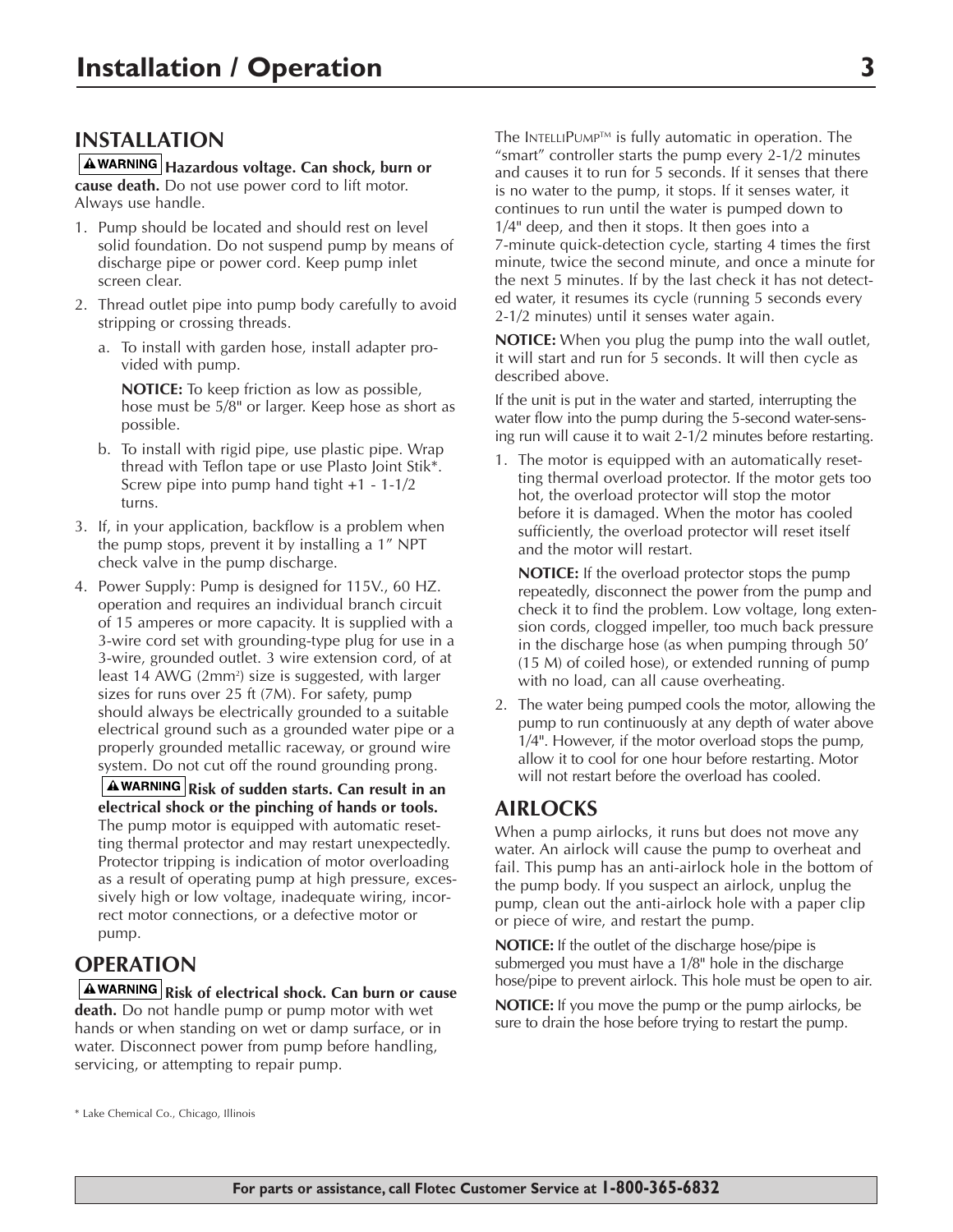## **INSTALLATION**

**Hazardous voltage. Can shock, burn or cause death.** Do not use power cord to lift motor. Always use handle.

- 1. Pump should be located and should rest on level solid foundation. Do not suspend pump by means of discharge pipe or power cord. Keep pump inlet screen clear.
- 2. Thread outlet pipe into pump body carefully to avoid stripping or crossing threads.
	- a. To install with garden hose, install adapter provided with pump.

**NOTICE:** To keep friction as low as possible, hose must be 5/8" or larger. Keep hose as short as possible.

- b. To install with rigid pipe, use plastic pipe. Wrap thread with Teflon tape or use Plasto Joint Stik\*. Screw pipe into pump hand tight +1 - 1-1/2 turns.
- 3. If, in your application, backflow is a problem when the pump stops, prevent it by installing a 1" NPT check valve in the pump discharge.
- 4. Power Supply: Pump is designed for 115V., 60 HZ. operation and requires an individual branch circuit of 15 amperes or more capacity. It is supplied with a 3-wire cord set with grounding-type plug for use in a 3-wire, grounded outlet. 3 wire extension cord, of at least 14 AWG (2mm²) size is suggested, with larger sizes for runs over 25 ft (7M). For safety, pump should always be electrically grounded to a suitable electrical ground such as a grounded water pipe or a properly grounded metallic raceway, or ground wire system. Do not cut off the round grounding prong.

**A** WARNING Risk of sudden starts. Can result in an **electrical shock or the pinching of hands or tools.** The pump motor is equipped with automatic resetting thermal protector and may restart unexpectedly. Protector tripping is indication of motor overloading as a result of operating pump at high pressure, excessively high or low voltage, inadequate wiring, incorrect motor connections, or a defective motor or pump.

# **OPERATION**

**Risk of electrical shock. Can burn or cause death.** Do not handle pump or pump motor with wet hands or when standing on wet or damp surface, or in water. Disconnect power from pump before handling, servicing, or attempting to repair pump.

The INTELLIPUMP™ is fully automatic in operation. The "smart" controller starts the pump every 2-1/2 minutes and causes it to run for 5 seconds. If it senses that there is no water to the pump, it stops. If it senses water, it continues to run until the water is pumped down to 1/4" deep, and then it stops. It then goes into a 7-minute quick-detection cycle, starting 4 times the first minute, twice the second minute, and once a minute for the next 5 minutes. If by the last check it has not detected water, it resumes its cycle (running 5 seconds every 2-1/2 minutes) until it senses water again.

**NOTICE:** When you plug the pump into the wall outlet, it will start and run for 5 seconds. It will then cycle as described above.

If the unit is put in the water and started, interrupting the water flow into the pump during the 5-second water-sensing run will cause it to wait 2-1/2 minutes before restarting.

1. The motor is equipped with an automatically resetting thermal overload protector. If the motor gets too hot, the overload protector will stop the motor before it is damaged. When the motor has cooled sufficiently, the overload protector will reset itself and the motor will restart.

**NOTICE:** If the overload protector stops the pump repeatedly, disconnect the power from the pump and check it to find the problem. Low voltage, long extension cords, clogged impeller, too much back pressure in the discharge hose (as when pumping through 50' (15 M) of coiled hose), or extended running of pump with no load, can all cause overheating.

2. The water being pumped cools the motor, allowing the pump to run continuously at any depth of water above 1/4". However, if the motor overload stops the pump, allow it to cool for one hour before restarting. Motor will not restart before the overload has cooled.

# **AIRLOCKS**

When a pump airlocks, it runs but does not move any water. An airlock will cause the pump to overheat and fail. This pump has an anti-airlock hole in the bottom of the pump body. If you suspect an airlock, unplug the pump, clean out the anti-airlock hole with a paper clip or piece of wire, and restart the pump.

**NOTICE:** If the outlet of the discharge hose/pipe is submerged you must have a 1/8" hole in the discharge hose/pipe to prevent airlock. This hole must be open to air.

**NOTICE:** If you move the pump or the pump airlocks, be sure to drain the hose before trying to restart the pump.

\* Lake Chemical Co., Chicago, Illinois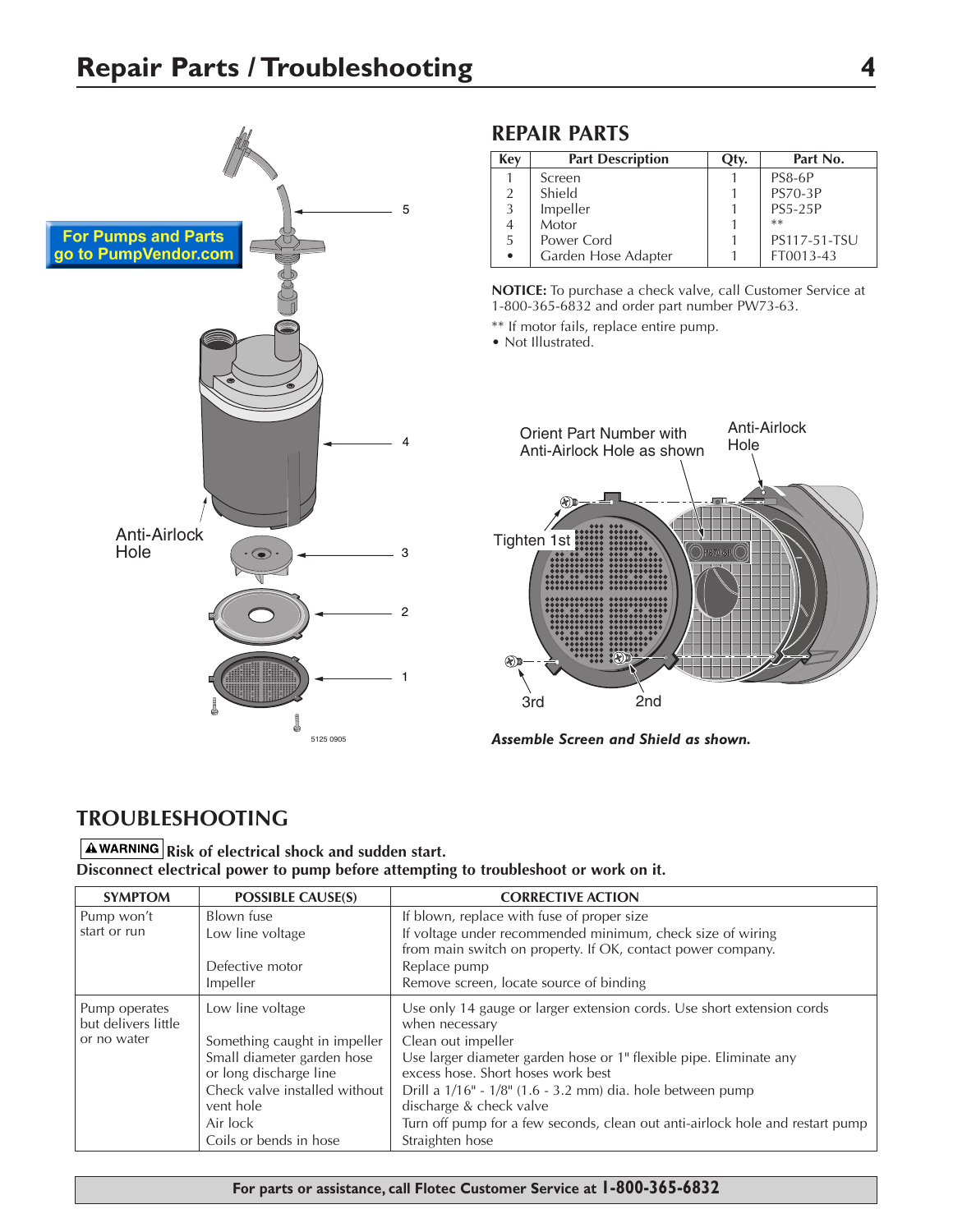

# **REPAIR PARTS**

| Key            | <b>Part Description</b> | Эtv. | Part No.       |
|----------------|-------------------------|------|----------------|
|                | Screen                  |      | PS8-6P         |
| $\overline{2}$ | Shield                  |      | <b>PS70-3P</b> |
| 3              | Impeller                |      | <b>PS5-25P</b> |
|                | Motor                   |      | $**$           |
| -5             | Power Cord              |      | PS117-51-TSU   |
|                | Garden Hose Adapter     |      | FT0013-43      |

**NOTICE:** To purchase a check valve, call Customer Service at 1-800-365-6832 and order part number PW73-63.

\*\* If motor fails, replace entire pump.

• Not Illustrated.



*Assemble Screen and Shield as shown.*

# **TROUBLESHOOTING**

### **A WARNING** Risk of electrical shock and sudden start. **Disconnect electrical power to pump before attempting to troubleshoot or work on it.**

| <b>SYMPTOM</b>      | <b>POSSIBLE CAUSE(S)</b>                             | <b>CORRECTIVE ACTION</b>                                                                                 |
|---------------------|------------------------------------------------------|----------------------------------------------------------------------------------------------------------|
| Pump won't          | Blown fuse                                           | If blown, replace with fuse of proper size                                                               |
| start or run        | Low line voltage                                     | If voltage under recommended minimum, check size of wiring                                               |
|                     |                                                      | from main switch on property. If OK, contact power company.                                              |
|                     | Defective motor                                      | Replace pump                                                                                             |
|                     | Impeller                                             | Remove screen, locate source of binding                                                                  |
| Pump operates       | Low line voltage                                     | Use only 14 gauge or larger extension cords. Use short extension cords                                   |
| but delivers little |                                                      | when necessary                                                                                           |
| or no water         | Something caught in impeller                         | Clean out impeller                                                                                       |
|                     | Small diameter garden hose<br>or long discharge line | Use larger diameter garden hose or 1" flexible pipe. Eliminate any<br>excess hose. Short hoses work best |
|                     | Check valve installed without<br>vent hole           | Drill a 1/16" - 1/8" (1.6 - 3.2 mm) dia. hole between pump<br>discharge & check valve                    |
|                     | Air lock                                             | Turn off pump for a few seconds, clean out anti-airlock hole and restart pump                            |
|                     | Coils or bends in hose                               | Straighten hose                                                                                          |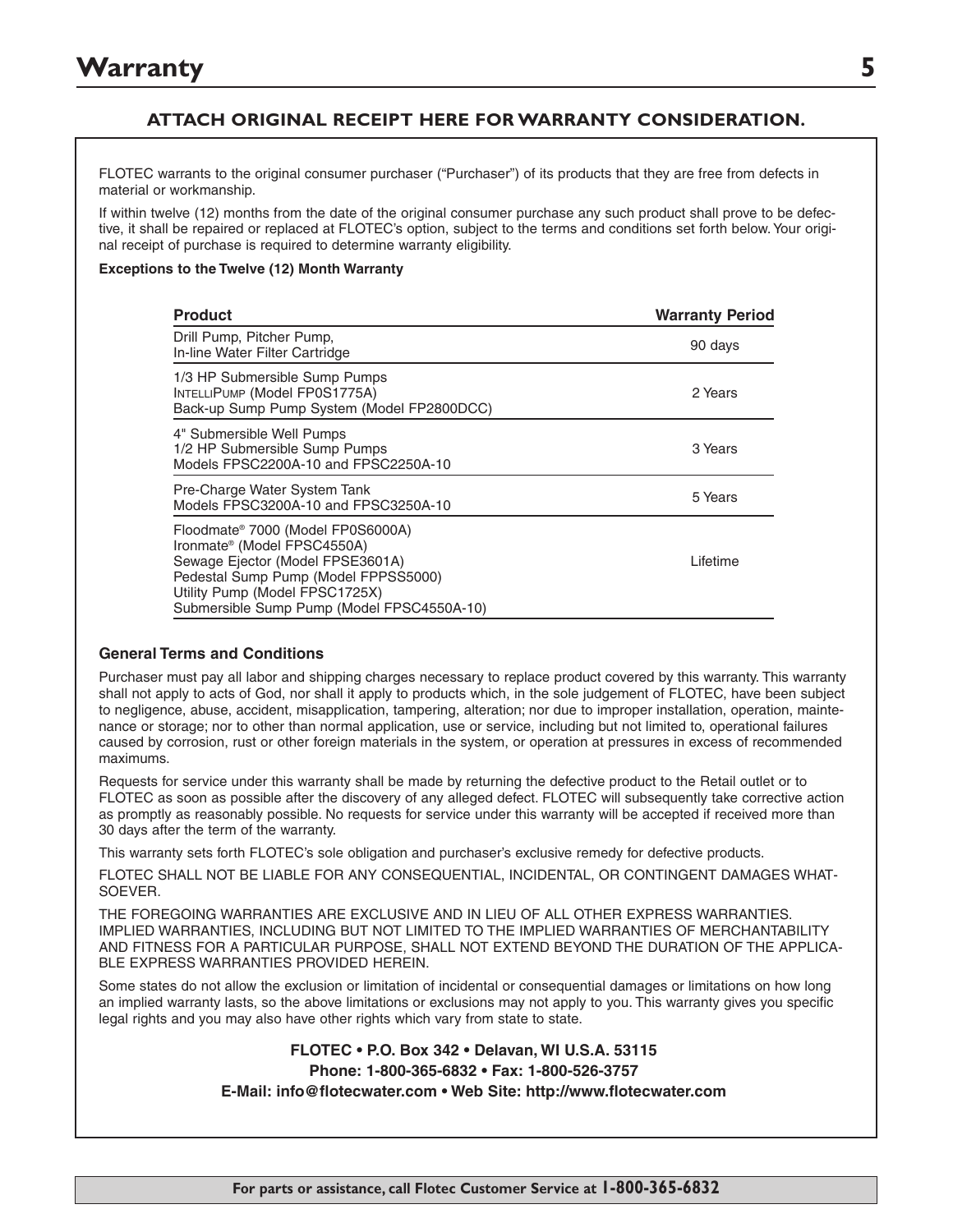### **ATTACH ORIGINAL RECEIPT HERE FOR WARRANTY CONSIDERATION.**

FLOTEC warrants to the original consumer purchaser ("Purchaser") of its products that they are free from defects in material or workmanship.

If within twelve (12) months from the date of the original consumer purchase any such product shall prove to be defective, it shall be repaired or replaced at FLOTEC's option, subject to the terms and conditions set forth below. Your original receipt of purchase is required to determine warranty eligibility.

#### **Exceptions to the Twelve (12) Month Warranty**

| <b>Product</b>                                                                                                                                                                                                                           | <b>Warranty Period</b> |
|------------------------------------------------------------------------------------------------------------------------------------------------------------------------------------------------------------------------------------------|------------------------|
| Drill Pump, Pitcher Pump,<br>In-line Water Filter Cartridge                                                                                                                                                                              | 90 days                |
| 1/3 HP Submersible Sump Pumps<br>INTELLIPUMP (Model FP0S1775A)<br>Back-up Sump Pump System (Model FP2800DCC)                                                                                                                             | 2 Years                |
| 4" Submersible Well Pumps<br>1/2 HP Submersible Sump Pumps<br>Models FPSC2200A-10 and FPSC2250A-10                                                                                                                                       | 3 Years                |
| Pre-Charge Water System Tank<br>Models FPSC3200A-10 and FPSC3250A-10                                                                                                                                                                     | 5 Years                |
| Floodmate® 7000 (Model FP0S6000A)<br>Ironmate <sup>®</sup> (Model FPSC4550A)<br>Sewage Ejector (Model FPSE3601A)<br>Pedestal Sump Pump (Model FPPSS5000)<br>Utility Pump (Model FPSC1725X)<br>Submersible Sump Pump (Model FPSC4550A-10) | Lifetime               |

#### **General Terms and Conditions**

Purchaser must pay all labor and shipping charges necessary to replace product covered by this warranty. This warranty shall not apply to acts of God, nor shall it apply to products which, in the sole judgement of FLOTEC, have been subject to negligence, abuse, accident, misapplication, tampering, alteration; nor due to improper installation, operation, maintenance or storage; nor to other than normal application, use or service, including but not limited to, operational failures caused by corrosion, rust or other foreign materials in the system, or operation at pressures in excess of recommended maximums.

Requests for service under this warranty shall be made by returning the defective product to the Retail outlet or to FLOTEC as soon as possible after the discovery of any alleged defect. FLOTEC will subsequently take corrective action as promptly as reasonably possible. No requests for service under this warranty will be accepted if received more than 30 days after the term of the warranty.

This warranty sets forth FLOTEC's sole obligation and purchaser's exclusive remedy for defective products.

FLOTEC SHALL NOT BE LIABLE FOR ANY CONSEQUENTIAL, INCIDENTAL, OR CONTINGENT DAMAGES WHAT-SOEVER.

THE FOREGOING WARRANTIES ARE EXCLUSIVE AND IN LIEU OF ALL OTHER EXPRESS WARRANTIES. IMPLIED WARRANTIES, INCLUDING BUT NOT LIMITED TO THE IMPLIED WARRANTIES OF MERCHANTABILITY AND FITNESS FOR A PARTICULAR PURPOSE, SHALL NOT EXTEND BEYOND THE DURATION OF THE APPLICA-BLE EXPRESS WARRANTIES PROVIDED HEREIN.

Some states do not allow the exclusion or limitation of incidental or consequential damages or limitations on how long an implied warranty lasts, so the above limitations or exclusions may not apply to you. This warranty gives you specific legal rights and you may also have other rights which vary from state to state.

### **FLOTEC • P.O. Box 342 • Delavan, WI U.S.A. 53115 Phone: 1-800-365-6832 • Fax: 1-800-526-3757 E-Mail: info@flotecwater.com • Web Site: http://www.flotecwater.com**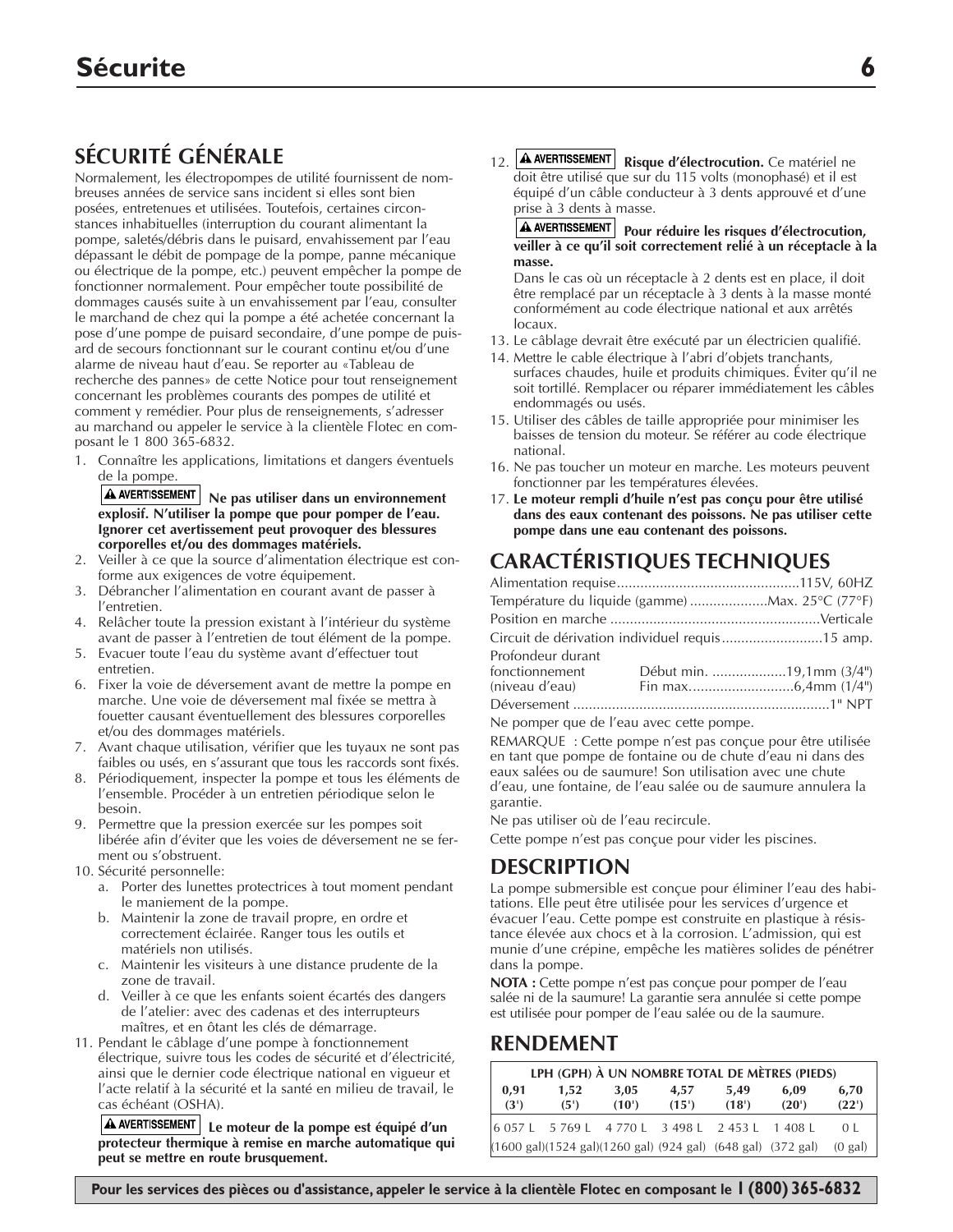# **SÉCURITÉ GÉNÉRALE**

Normalement, les électropompes de utilité fournissent de nombreuses années de service sans incident si elles sont bien posées, entretenues et utilisées. Toutefois, certaines circonstances inhabituelles (interruption du courant alimentant la pompe, saletés/débris dans le puisard, envahissement par l'eau dépassant le débit de pompage de la pompe, panne mécanique ou électrique de la pompe, etc.) peuvent empêcher la pompe de fonctionner normalement. Pour empêcher toute possibilité de dommages causés suite à un envahissement par l'eau, consulter le marchand de chez qui la pompe a été achetée concernant la pose d'une pompe de puisard secondaire, d'une pompe de puisard de secours fonctionnant sur le courant continu et/ou d'une alarme de niveau haut d'eau. Se reporter au «Tableau de recherche des pannes» de cette Notice pour tout renseignement concernant les problèmes courants des pompes de utilité et comment y remédier. Pour plus de renseignements, s'adresser au marchand ou appeler le service à la clientèle Flotec en composant le 1 800 365-6832.

1. Connaître les applications, limitations et dangers éventuels de la pompe.

**A** AVERTISSEMENT Ne pas utiliser dans un environnement **explosif. N'utiliser la pompe que pour pomper de l'eau. Ignorer cet avertissement peut provoquer des blessures corporelles et/ou des dommages matériels.**

- 2. Veiller à ce que la source d'alimentation électrique est conforme aux exigences de votre équipement.
- 3. Débrancher l'alimentation en courant avant de passer à l'entretien.
- 4. Relâcher toute la pression existant à l'intérieur du système avant de passer à l'entretien de tout élément de la pompe.
- 5. Evacuer toute l'eau du système avant d'effectuer tout entretien.
- 6. Fixer la voie de déversement avant de mettre la pompe en marche. Une voie de déversement mal fixée se mettra à fouetter causant éventuellement des blessures corporelles et/ou des dommages matériels.
- 7. Avant chaque utilisation, vérifier que les tuyaux ne sont pas faibles ou usés, en s'assurant que tous les raccords sont fixés.
- 8. Périodiquement, inspecter la pompe et tous les éléments de l'ensemble. Procéder à un entretien périodique selon le besoin.
- 9. Permettre que la pression exercée sur les pompes soit libérée afin d'éviter que les voies de déversement ne se ferment ou s'obstruent.
- 10. Sécurité personnelle:
	- a. Porter des lunettes protectrices à tout moment pendant le maniement de la pompe.
	- b. Maintenir la zone de travail propre, en ordre et correctement éclairée. Ranger tous les outils et matériels non utilisés.
	- c. Maintenir les visiteurs à une distance prudente de la zone de travail.
	- d. Veiller à ce que les enfants soient écartés des dangers de l'atelier: avec des cadenas et des interrupteurs maîtres, et en ôtant les clés de démarrage.
- 11. Pendant le câblage d'une pompe à fonctionnement électrique, suivre tous les codes de sécurité et d'électricité, ainsi que le dernier code électrique national en vigueur et l'acte relatif à la sécurité et la santé en milieu de travail, le cas échéant (OSHA).

**Le moteur de la pompe est équipé d'un protecteur thermique à remise en marche automatique qui peut se mettre en route brusquement.**

12. **A AVERTISSEMENT** Risque d'électrocution. Ce matériel ne doit être utilisé que sur du 115 volts (monophasé) et il est équipé d'un câble conducteur à 3 dents approuvé et d'une prise à 3 dents à masse.

#### **Pour réduire les risques d'électrocution, veiller à ce qu'il soit correctement relié à un réceptacle à la masse.**

Dans le cas où un réceptacle à 2 dents est en place, il doit être remplacé par un réceptacle à 3 dents à la masse monté conformément au code électrique national et aux arrêtés locaux.

- 13. Le câblage devrait être exécuté par un électricien qualifié.
- 14. Mettre le cable électrique à l'abri d'objets tranchants, surfaces chaudes, huile et produits chimiques. Éviter qu'il ne soit tortillé. Remplacer ou réparer immédiatement les câbles endommagés ou usés.
- 15. Utiliser des câbles de taille appropriée pour minimiser les baisses de tension du moteur. Se référer au code électrique national.
- 16. Ne pas toucher un moteur en marche. Les moteurs peuvent fonctionner par les températures élevées.
- 17. **Le moteur rempli d'huile n'est pas conçu pour être utilisé dans des eaux contenant des poissons. Ne pas utiliser cette pompe dans une eau contenant des poissons.**

# **CARACTÉRISTIQUES TECHNIQUES**

| Température du liquide (gamme) Max. 25°C (77°F) |  |                          |
|-------------------------------------------------|--|--------------------------|
|                                                 |  |                          |
| Circuit de dérivation individuel requis15 amp.  |  |                          |
| Profondeur durant<br>fonctionnement             |  | Début min. 19,1mm (3/4") |
|                                                 |  |                          |

Ne pomper que de l'eau avec cette pompe.

REMARQUE : Cette pompe n'est pas conçue pour être utilisée en tant que pompe de fontaine ou de chute d'eau ni dans des eaux salées ou de saumure! Son utilisation avec une chute d'eau, une fontaine, de l'eau salée ou de saumure annulera la garantie.

Ne pas utiliser où de l'eau recircule.

Cette pompe n'est pas conçue pour vider les piscines.

# **DESCRIPTION**

La pompe submersible est conçue pour éliminer l'eau des habitations. Elle peut être utilisée pour les services d'urgence et évacuer l'eau. Cette pompe est construite en plastique à résistance élevée aux chocs et à la corrosion. L'admission, qui est munie d'une crépine, empêche les matières solides de pénétrer dans la pompe.

**NOTA :** Cette pompe n'est pas conçue pour pomper de l'eau salée ni de la saumure! La garantie sera annulée si cette pompe est utilisée pour pomper de l'eau salée ou de la saumure.

# **RENDEMENT**

| LPH (GPH) À UN NOMBRE TOTAL DE MÈTRES (PIEDS) |                                                                                                  |               |               |               |               |                   |
|-----------------------------------------------|--------------------------------------------------------------------------------------------------|---------------|---------------|---------------|---------------|-------------------|
| 0,91<br>(3')                                  | 1.52<br>(5')                                                                                     | 3,05<br>(10') | 4.57<br>(15') | 5,49<br>(18') | 6.09<br>(20') | 6,70<br>(22')     |
|                                               | 6 057 L 5 769 L 4 770 L 3 498 L 2 453 L 1 408 L                                                  |               |               |               |               | 0 <sup>1</sup>    |
|                                               | $(1600 \text{ gal})(1524 \text{ gal})(1260 \text{ gal})$ (924 gal) $(648 \text{ gal})$ (372 gal) |               |               |               |               | $(0 \text{ gal})$ |

**Pour les services des pièces ou d'assistance, appeler le service à la clientèle Flotec en composant le 1 (800) 365-6832**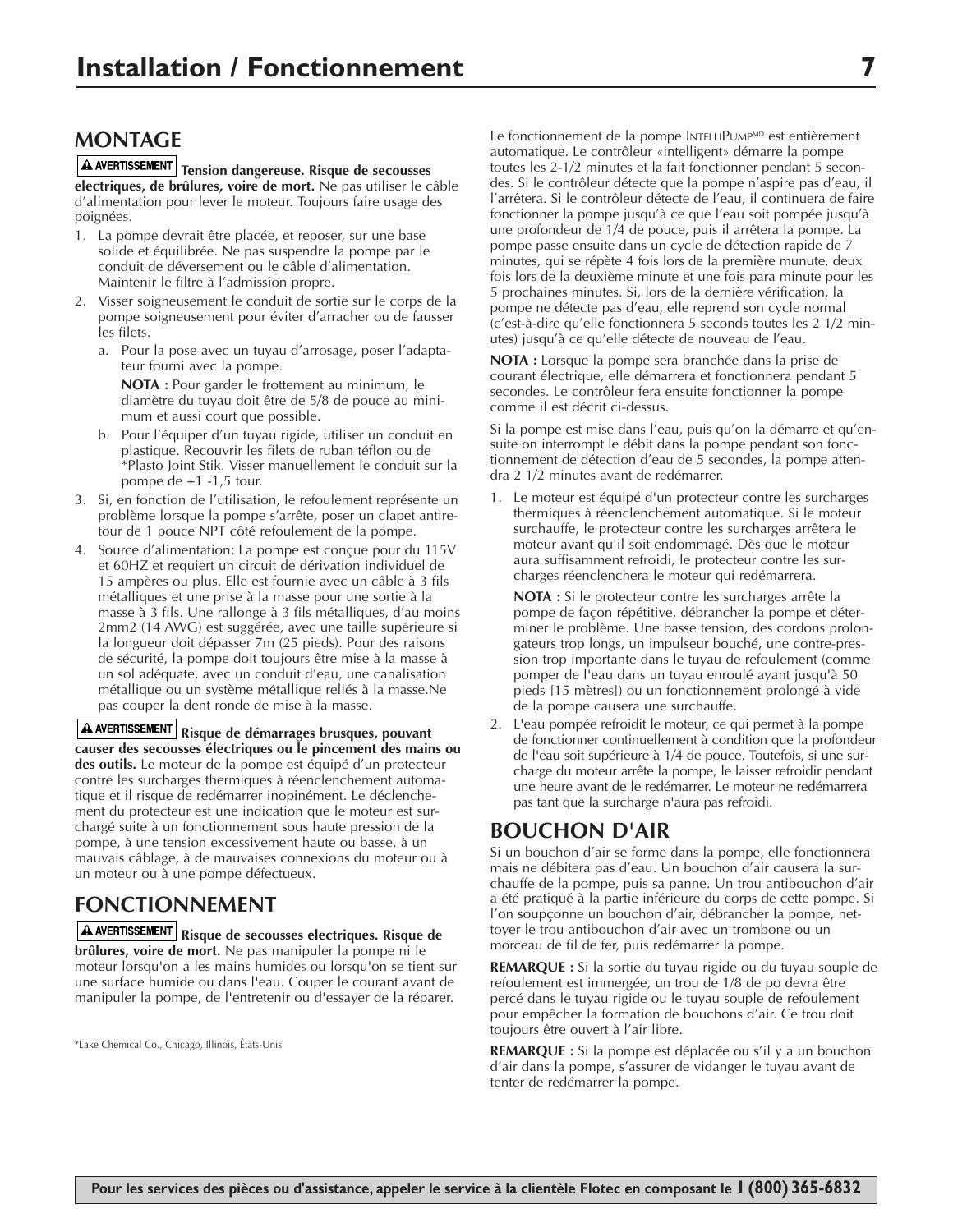# **MONTAGE**

 $\boxed{\textbf{A}$  AVERTISSEMENT Tension dangereuse. Risque de secousses **electriques, de brûlures, voire de mort.** Ne pas utiliser le câble d'alimentation pour lever le moteur. Toujours faire usage des poignées.

- 1. La pompe devrait être placée, et reposer, sur une base solide et équilibrée. Ne pas suspendre la pompe par le conduit de déversement ou le câble d'alimentation. Maintenir le filtre à l'admission propre.
- 2. Visser soigneusement le conduit de sortie sur le corps de la pompe soigneusement pour éviter d'arracher ou de fausser les filets.
	- a. Pour la pose avec un tuyau d'arrosage, poser l'adaptateur fourni avec la pompe.

**NOTA :** Pour garder le frottement au minimum, le diamètre du tuyau doit être de 5/8 de pouce au minimum et aussi court que possible.

- b. Pour l'équiper d'un tuyau rigide, utiliser un conduit en plastique. Recouvrir les filets de ruban téflon ou de \*Plasto Joint Stik. Visser manuellement le conduit sur la pompe de  $+1$  -1,5 tour.
- 3. Si, en fonction de l'utilisation, le refoulement représente un problème lorsque la pompe s'arrête, poser un clapet antiretour de 1 pouce NPT côté refoulement de la pompe.
- 4. Source d'alimentation: La pompe est conçue pour du 115V et 60HZ et requiert un circuit de dérivation individuel de 15 ampères ou plus. Elle est fournie avec un câble à 3 fils métalliques et une prise à la masse pour une sortie à la masse à 3 fils. Une rallonge à 3 fils métalliques, d'au moins 2mm2 (14 AWG) est suggérée, avec une taille supérieure si la longueur doit dépasser 7m (25 pieds). Pour des raisons de sécurité, la pompe doit toujours être mise à la masse à un sol adéquate, avec un conduit d'eau, une canalisation métallique ou un système métallique reliés à la masse.Ne pas couper la dent ronde de mise à la masse.

**Risque de démarrages brusques, pouvant causer des secousses électriques ou le pincement des mains ou des outils.** Le moteur de la pompe est équipé d'un protecteur contre les surcharges thermiques à réenclenchement automatique et il risque de redémarrer inopinément. Le déclenchement du protecteur est une indication que le moteur est surchargé suite à un fonctionnement sous haute pression de la pompe, à une tension excessivement haute ou basse, à un mauvais câblage, à de mauvaises connexions du moteur ou à un moteur ou à une pompe défectueux.

# **FONCTIONNEMENT**

**Risque de secousses electriques. Risque de brûlures, voire de mort.** Ne pas manipuler la pompe ni le moteur lorsqu'on a les mains humides ou lorsqu'on se tient sur une surface humide ou dans l'eau. Couper le courant avant de manipuler la pompe, de l'entretenir ou d'essayer de la réparer.

\*Lake Chemical Co., Chicago, Illinois, Êtats-Unis

Le fonctionnement de la pompe INTELLIPUMP<sup>MD</sup> est entièrement automatique. Le contrôleur «intelligent» démarre la pompe toutes les 2-1/2 minutes et la fait fonctionner pendant 5 secondes. Si le contrôleur détecte que la pompe n'aspire pas d'eau, il l'arrêtera. Si le contrôleur détecte de l'eau, il continuera de faire fonctionner la pompe jusqu'à ce que l'eau soit pompée jusqu'à une profondeur de 1/4 de pouce, puis il arrêtera la pompe. La pompe passe ensuite dans un cycle de détection rapide de 7 minutes, qui se répète 4 fois lors de la première munute, deux fois lors de la deuxième minute et une fois para minute pour les 5 prochaines minutes. Si, lors de la dernière vérification, la pompe ne détecte pas d'eau, elle reprend son cycle normal (c'est-à-dire qu'elle fonctionnera 5 seconds toutes les 2 1/2 minutes) jusqu'à ce qu'elle détecte de nouveau de l'eau.

**NOTA :** Lorsque la pompe sera branchée dans la prise de courant électrique, elle démarrera et fonctionnera pendant 5 secondes. Le contrôleur fera ensuite fonctionner la pompe comme il est décrit ci-dessus.

Si la pompe est mise dans l'eau, puis qu'on la démarre et qu'ensuite on interrompt le débit dans la pompe pendant son fonctionnement de détection d'eau de 5 secondes, la pompe attendra 2 1/2 minutes avant de redémarrer.

1. Le moteur est équipé d'un protecteur contre les surcharges thermiques à réenclenchement automatique. Si le moteur surchauffe, le protecteur contre les surcharges arrêtera le moteur avant qu'il soit endommagé. Dès que le moteur aura suffisamment refroidi, le protecteur contre les surcharges réenclenchera le moteur qui redémarrera.

**NOTA :** Si le protecteur contre les surcharges arrête la pompe de façon répétitive, débrancher la pompe et déterminer le problème. Une basse tension, des cordons prolongateurs trop longs, un impulseur bouché, une contre-pression trop importante dans le tuyau de refoulement (comme pomper de l'eau dans un tuyau enroulé ayant jusqu'à 50 pieds [15 mètres]) ou un fonctionnement prolongé à vide de la pompe causera une surchauffe.

2. L'eau pompée refroidit le moteur, ce qui permet à la pompe de fonctionner continuellement à condition que la profondeur de l'eau soit supérieure à 1/4 de pouce. Toutefois, si une surcharge du moteur arrête la pompe, le laisser refroidir pendant une heure avant de le redémarrer. Le moteur ne redémarrera pas tant que la surcharge n'aura pas refroidi.

# **BOUCHON D'AIR**

Si un bouchon d'air se forme dans la pompe, elle fonctionnera mais ne débitera pas d'eau. Un bouchon d'air causera la surchauffe de la pompe, puis sa panne. Un trou antibouchon d'air a été pratiqué à la partie inférieure du corps de cette pompe. Si l'on soupçonne un bouchon d'air, débrancher la pompe, nettoyer le trou antibouchon d'air avec un trombone ou un morceau de fil de fer, puis redémarrer la pompe.

**REMARQUE :** Si la sortie du tuyau rigide ou du tuyau souple de refoulement est immergée, un trou de 1/8 de po devra être percé dans le tuyau rigide ou le tuyau souple de refoulement pour empêcher la formation de bouchons d'air. Ce trou doit toujours être ouvert à l'air libre.

**REMARQUE :** Si la pompe est déplacée ou s'il y a un bouchon d'air dans la pompe, s'assurer de vidanger le tuyau avant de tenter de redémarrer la pompe.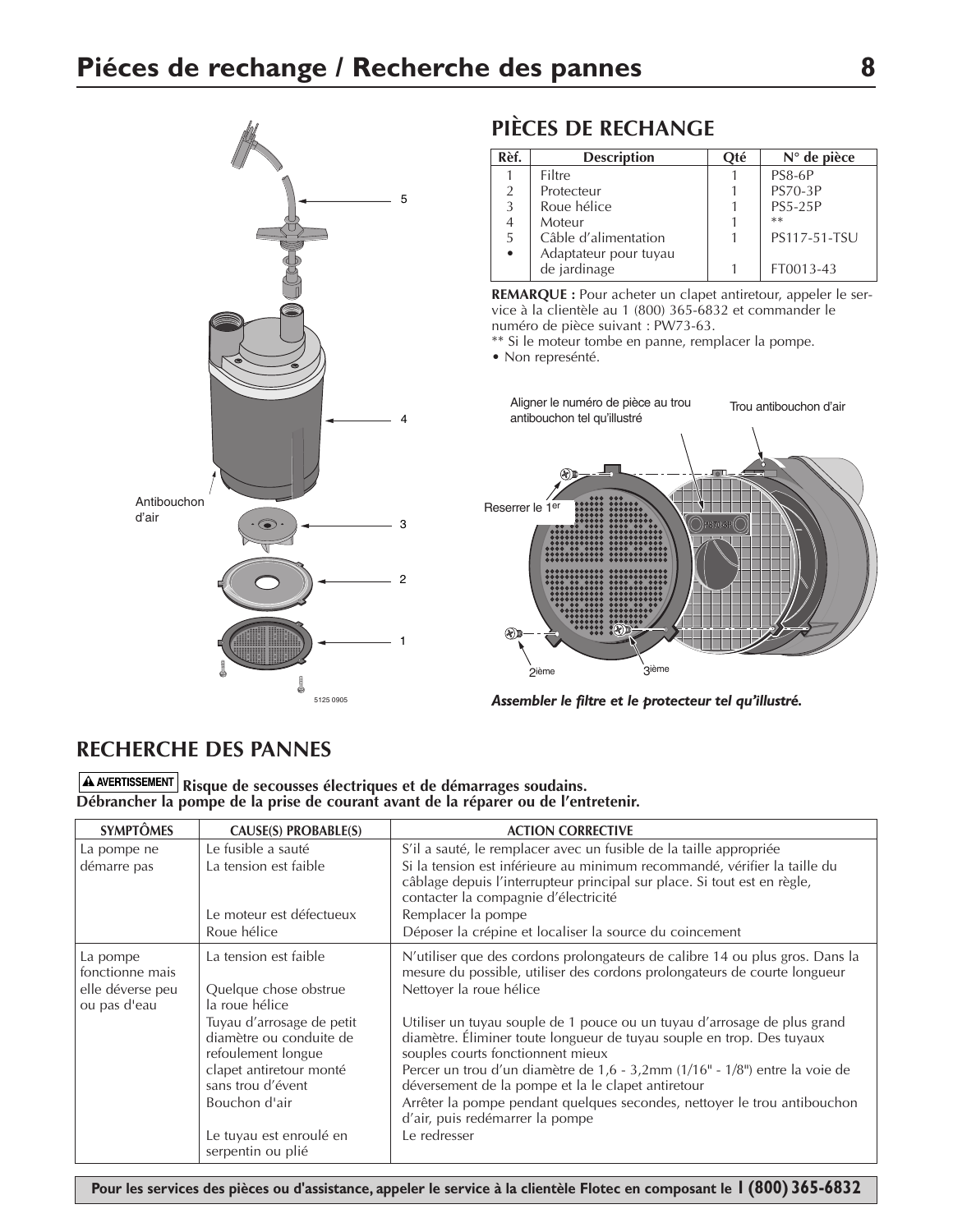

# **PIÈCES DE RECHANGE**

| Rèf.      | <b>Description</b>    | Oté | $N^{\circ}$ de pièce |
|-----------|-----------------------|-----|----------------------|
|           | Filtre                |     | <b>PS8-6P</b>        |
| 2         | Protecteur            |     | <b>PS70-3P</b>       |
| 3         | Roue hélice           |     | <b>PS5-25P</b>       |
|           | Moteur                |     | $**$                 |
| 5         | Câble d'alimentation  |     | PS117-51-TSU         |
| $\bullet$ | Adaptateur pour tuyau |     |                      |
|           | de jardinage          |     | FT0013-43            |

**REMARQUE :** Pour acheter un clapet antiretour, appeler le service à la clientèle au 1 (800) 365-6832 et commander le numéro de pièce suivant : PW73-63.

\*\* Si le moteur tombe en panne, remplacer la pompe.

• Non represénté.



*Assembler le filtre et le protecteur tel qu'illustré.*

# **RECHERCHE DES PANNES**

**Risque de secousses électriques et de démarrages soudains. Débrancher la pompe de la prise de courant avant de la réparer ou de l'entretenir.**

| <b>SYMPTÔMES</b>                 | CAUSE(S) PROBABLE(S)                                                       | <b>ACTION CORRECTIVE</b>                                                                                                                                                                      |
|----------------------------------|----------------------------------------------------------------------------|-----------------------------------------------------------------------------------------------------------------------------------------------------------------------------------------------|
| La pompe ne                      | Le fusible a sauté                                                         | S'il a sauté, le remplacer avec un fusible de la taille appropriée                                                                                                                            |
| démarre pas                      | La tension est faible                                                      | Si la tension est inférieure au minimum recommandé, vérifier la taille du<br>câblage depuis l'interrupteur principal sur place. Si tout est en règle,<br>contacter la compagnie d'électricité |
|                                  | Le moteur est défectueux                                                   | Remplacer la pompe                                                                                                                                                                            |
|                                  | Roue hélice                                                                | Déposer la crépine et localiser la source du coincement                                                                                                                                       |
| La pompe<br>fonctionne mais      | La tension est faible                                                      | N'utiliser que des cordons prolongateurs de calibre 14 ou plus gros. Dans la<br>mesure du possible, utiliser des cordons prolongateurs de courte longueur                                     |
| elle déverse peu<br>ou pas d'eau | Quelque chose obstrue<br>la roue hélice                                    | Nettoyer la roue hélice                                                                                                                                                                       |
|                                  | Tuyau d'arrosage de petit<br>diamètre ou conduite de<br>refoulement longue | Utiliser un tuyau souple de 1 pouce ou un tuyau d'arrosage de plus grand<br>diamètre. Éliminer toute longueur de tuyau souple en trop. Des tuyaux<br>souples courts fonctionnent mieux        |
|                                  | clapet antiretour monté<br>sans trou d'évent                               | Percer un trou d'un diamètre de 1,6 - 3,2mm (1/16" - 1/8") entre la voie de<br>déversement de la pompe et la le clapet antiretour                                                             |
|                                  | Bouchon d'air                                                              | Arrêter la pompe pendant quelques secondes, nettoyer le trou antibouchon<br>d'air, puis redémarrer la pompe                                                                                   |
|                                  | Le tuyau est enroulé en<br>serpentin ou plié                               | Le redresser                                                                                                                                                                                  |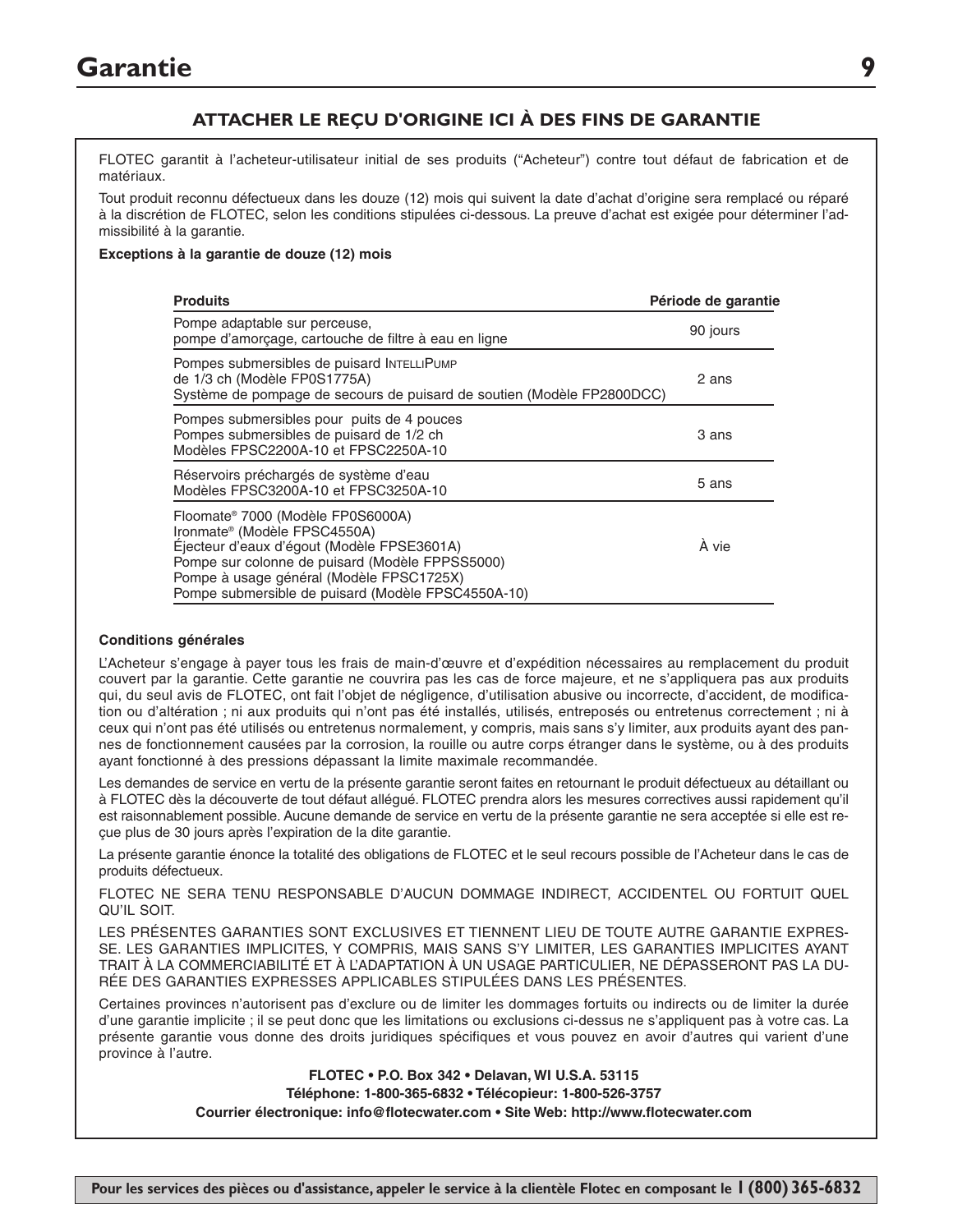# **Garantie 9**

## **ATTACHER LE REÇU D'ORIGINE ICI À DES FINS DE GARANTIE**

FLOTEC garantit à l'acheteur-utilisateur initial de ses produits ("Acheteur") contre tout défaut de fabrication et de matériaux.

Tout produit reconnu défectueux dans les douze (12) mois qui suivent la date d'achat d'origine sera remplacé ou réparé à la discrétion de FLOTEC, selon les conditions stipulées ci-dessous. La preuve d'achat est exigée pour déterminer l'admissibilité à la garantie.

#### **Exceptions à la garantie de douze (12) mois**

| <b>Produits</b>                                                                                                                                                                                                                                                                  | Période de garantie |
|----------------------------------------------------------------------------------------------------------------------------------------------------------------------------------------------------------------------------------------------------------------------------------|---------------------|
| Pompe adaptable sur perceuse,<br>pompe d'amorcage, cartouche de filtre à eau en ligne                                                                                                                                                                                            | 90 jours            |
| Pompes submersibles de puisard INTELLIPUMP<br>de 1/3 ch (Modèle FP0S1775A)<br>Système de pompage de secours de puisard de soutien (Modèle FP2800DCC)                                                                                                                             | 2 ans               |
| Pompes submersibles pour puits de 4 pouces<br>Pompes submersibles de puisard de 1/2 ch<br>Modèles FPSC2200A-10 et FPSC2250A-10                                                                                                                                                   | 3 ans               |
| Réservoirs préchargés de système d'eau<br>Modèles FPSC3200A-10 et FPSC3250A-10                                                                                                                                                                                                   | 5 ans               |
| Floomate® 7000 (Modèle FP0S6000A)<br>Ironmate <sup>®</sup> (Modèle FPSC4550A)<br>Éjecteur d'eaux d'égout (Modèle FPSE3601A)<br>Pompe sur colonne de puisard (Modèle FPPSS5000)<br>Pompe à usage général (Modèle FPSC1725X)<br>Pompe submersible de puisard (Modèle FPSC4550A-10) | À vie               |

#### **Conditions générales**

L'Acheteur s'engage à payer tous les frais de main-d'œuvre et d'expédition nécessaires au remplacement du produit couvert par la garantie. Cette garantie ne couvrira pas les cas de force majeure, et ne s'appliquera pas aux produits qui, du seul avis de FLOTEC, ont fait l'objet de négligence, d'utilisation abusive ou incorrecte, d'accident, de modification ou d'altération ; ni aux produits qui n'ont pas été installés, utilisés, entreposés ou entretenus correctement ; ni à ceux qui n'ont pas été utilisés ou entretenus normalement, y compris, mais sans s'y limiter, aux produits ayant des pannes de fonctionnement causées par la corrosion, la rouille ou autre corps étranger dans le système, ou à des produits ayant fonctionné à des pressions dépassant la limite maximale recommandée.

Les demandes de service en vertu de la présente garantie seront faites en retournant le produit défectueux au détaillant ou à FLOTEC dès la découverte de tout défaut allégué. FLOTEC prendra alors les mesures correctives aussi rapidement qu'il est raisonnablement possible. Aucune demande de service en vertu de la présente garantie ne sera acceptée si elle est reçue plus de 30 jours après l'expiration de la dite garantie.

La présente garantie énonce la totalité des obligations de FLOTEC et le seul recours possible de l'Acheteur dans le cas de produits défectueux.

FLOTEC NE SERA TENU RESPONSABLE D'AUCUN DOMMAGE INDIRECT, ACCIDENTEL OU FORTUIT QUEL QU'IL SOIT.

LES PRÉSENTES GARANTIES SONT EXCLUSIVES ET TIENNENT LIEU DE TOUTE AUTRE GARANTIE EXPRES-SE. LES GARANTIES IMPLICITES, Y COMPRIS, MAIS SANS S'Y LIMITER, LES GARANTIES IMPLICITES AYANT TRAIT À LA COMMERCIABILITÉ ET À L'ADAPTATION À UN USAGE PARTICULIER, NE DÉPASSERONT PAS LA DU-RÉE DES GARANTIES EXPRESSES APPLICABLES STIPULÉES DANS LES PRÉSENTES.

Certaines provinces n'autorisent pas d'exclure ou de limiter les dommages fortuits ou indirects ou de limiter la durée d'une garantie implicite ; il se peut donc que les limitations ou exclusions ci-dessus ne s'appliquent pas à votre cas. La présente garantie vous donne des droits juridiques spécifiques et vous pouvez en avoir d'autres qui varient d'une province à l'autre.

**FLOTEC • P.O. Box 342 • Delavan, WI U.S.A. 53115**

**Téléphone: 1-800-365-6832 • Télécopieur: 1-800-526-3757**

**Courrier électronique: info@flotecwater.com • Site Web: http://www.flotecwater.com**

**Pour les services des pièces ou d'assistance, appeler le service à la clientèle Flotec en composant le 1 (800) 365-6832**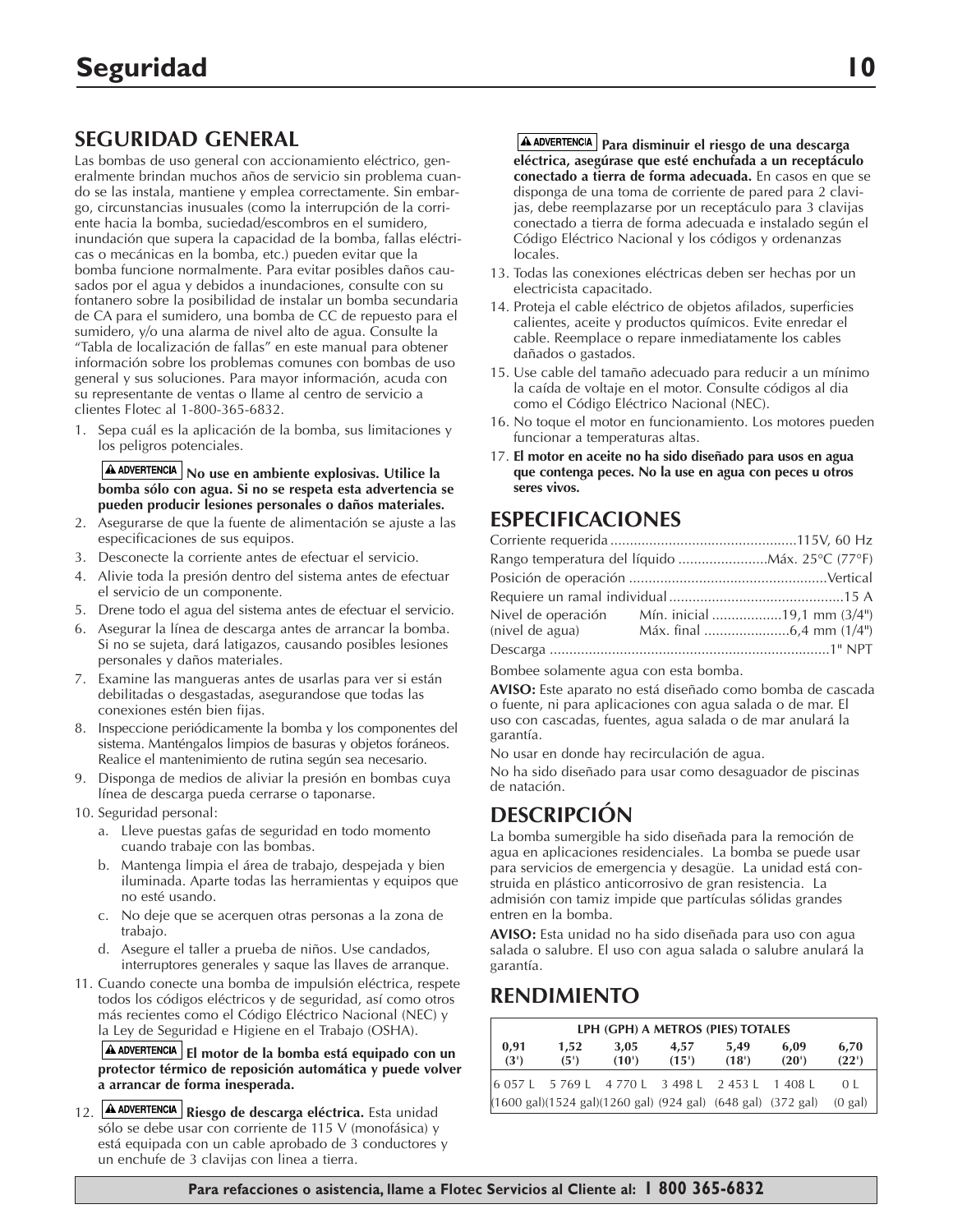# **SEGURIDAD GENERAL**

Las bombas de uso general con accionamiento eléctrico, generalmente brindan muchos años de servicio sin problema cuando se las instala, mantiene y emplea correctamente. Sin embargo, circunstancias inusuales (como la interrupción de la corriente hacia la bomba, suciedad/escombros en el sumidero, inundación que supera la capacidad de la bomba, fallas eléctricas o mecánicas en la bomba, etc.) pueden evitar que la bomba funcione normalmente. Para evitar posibles daños causados por el agua y debidos a inundaciones, consulte con su fontanero sobre la posibilidad de instalar un bomba secundaria de CA para el sumidero, una bomba de CC de repuesto para el sumidero, y/o una alarma de nivel alto de agua. Consulte la "Tabla de localización de fallas" en este manual para obtener información sobre los problemas comunes con bombas de uso general y sus soluciones. Para mayor información, acuda con su representante de ventas o llame al centro de servicio a clientes Flotec al 1-800-365-6832.

1. Sepa cuál es la aplicación de la bomba, sus limitaciones y los peligros potenciales.

#### **No use en ambiente explosivas. Utilice la bomba sólo con agua. Si no se respeta esta advertencia se pueden producir lesiones personales o daños materiales.**

- 2. Asegurarse de que la fuente de alimentación se ajuste a las especificaciones de sus equipos.
- 3. Desconecte la corriente antes de efectuar el servicio.
- 4. Alivie toda la presión dentro del sistema antes de efectuar el servicio de un componente.
- 5. Drene todo el agua del sistema antes de efectuar el servicio.
- 6. Asegurar la línea de descarga antes de arrancar la bomba. Si no se sujeta, dará latigazos, causando posibles lesiones personales y daños materiales.
- 7. Examine las mangueras antes de usarlas para ver si están debilitadas o desgastadas, asegurandose que todas las conexiones estén bien fijas.
- 8. Inspeccione periódicamente la bomba y los componentes del sistema. Manténgalos limpios de basuras y objetos foráneos. Realice el mantenimiento de rutina según sea necesario.
- 9. Disponga de medios de aliviar la presión en bombas cuya línea de descarga pueda cerrarse o taponarse.
- 10. Seguridad personal:
	- a. Lleve puestas gafas de seguridad en todo momento cuando trabaje con las bombas.
	- b. Mantenga limpia el área de trabajo, despejada y bien iluminada. Aparte todas las herramientas y equipos que no esté usando.
	- c. No deje que se acerquen otras personas a la zona de trabajo.
	- d. Asegure el taller a prueba de niños. Use candados, interruptores generales y saque las llaves de arranque.
- 11. Cuando conecte una bomba de impulsión eléctrica, respete todos los códigos eléctricos y de seguridad, así como otros más recientes como el Código Eléctrico Nacional (NEC) y la Ley de Seguridad e Higiene en el Trabajo (OSHA).

**El motor de la bomba está equipado con un protector térmico de reposición automática y puede volver a arrancar de forma inesperada.**

12. **A ADVERTENCIA** Riesgo de descarga eléctrica. Esta unidad sólo se debe usar con corriente de 115 V (monofásica) y está equipada con un cable aprobado de 3 conductores y un enchufe de 3 clavijas con linea a tierra.

**A ADVERTENCIA** Para disminuir el riesgo de una descarga **eléctrica, asegúrase que esté enchufada a un receptáculo conectado a tierra de forma adecuada.** En casos en que se disponga de una toma de corriente de pared para 2 clavijas, debe reemplazarse por un receptáculo para 3 clavijas conectado a tierra de forma adecuada e instalado según el Código Eléctrico Nacional y los códigos y ordenanzas locales.

- 13. Todas las conexiones eléctricas deben ser hechas por un electricista capacitado.
- 14. Proteja el cable eléctrico de objetos afilados, superficies calientes, aceite y productos químicos. Evite enredar el cable. Reemplace o repare inmediatamente los cables dañados o gastados.
- 15. Use cable del tamaño adecuado para reducir a un mínimo la caída de voltaje en el motor. Consulte códigos al dia como el Código Eléctrico Nacional (NEC).
- 16. No toque el motor en funcionamiento. Los motores pueden funcionar a temperaturas altas.
- 17. **El motor en aceite no ha sido diseñado para usos en agua que contenga peces. No la use en agua con peces u otros seres vivos.**

# **ESPECIFICACIONES**

| (nivel de agua) |  |
|-----------------|--|
|                 |  |
|                 |  |

Bombee solamente agua con esta bomba.

**AVISO:** Este aparato no está diseñado como bomba de cascada o fuente, ni para aplicaciones con agua salada o de mar. El uso con cascadas, fuentes, agua salada o de mar anulará la garantía.

No usar en donde hay recirculación de agua.

No ha sido diseñado para usar como desaguador de piscinas de natación.

# **DESCRIPCIÓN**

La bomba sumergible ha sido diseñada para la remoción de agua en aplicaciones residenciales. La bomba se puede usar para servicios de emergencia y desagüe. La unidad está construida en plástico anticorrosivo de gran resistencia. La admisión con tamiz impide que partículas sólidas grandes entren en la bomba.

**AVISO:** Esta unidad no ha sido diseñada para uso con agua salada o salubre. El uso con agua salada o salubre anulará la garantía.

# **RENDIMIENTO**

| LPH (GPH) A METROS (PIES) TOTALES |              |                                                 |               |               |                                                                                        |                   |
|-----------------------------------|--------------|-------------------------------------------------|---------------|---------------|----------------------------------------------------------------------------------------|-------------------|
| 0.91<br>(3')                      | 1.52<br>(5') | 3.05<br>$(10^{\circ})$                          | 4.57<br>(15') | 5.49<br>(18') | 6.09<br>(20')                                                                          | 6,70<br>(22')     |
|                                   |              | 6 057 L 5 769 L 4 770 L 3 498 L 2 453 L 1 408 L |               |               |                                                                                        | 0 <sup>1</sup>    |
|                                   |              |                                                 |               |               | $(1600 \text{ gal})(1524 \text{ gal})(1260 \text{ gal})$ (924 gal) (648 gal) (372 gal) | $(0 \text{ gal})$ |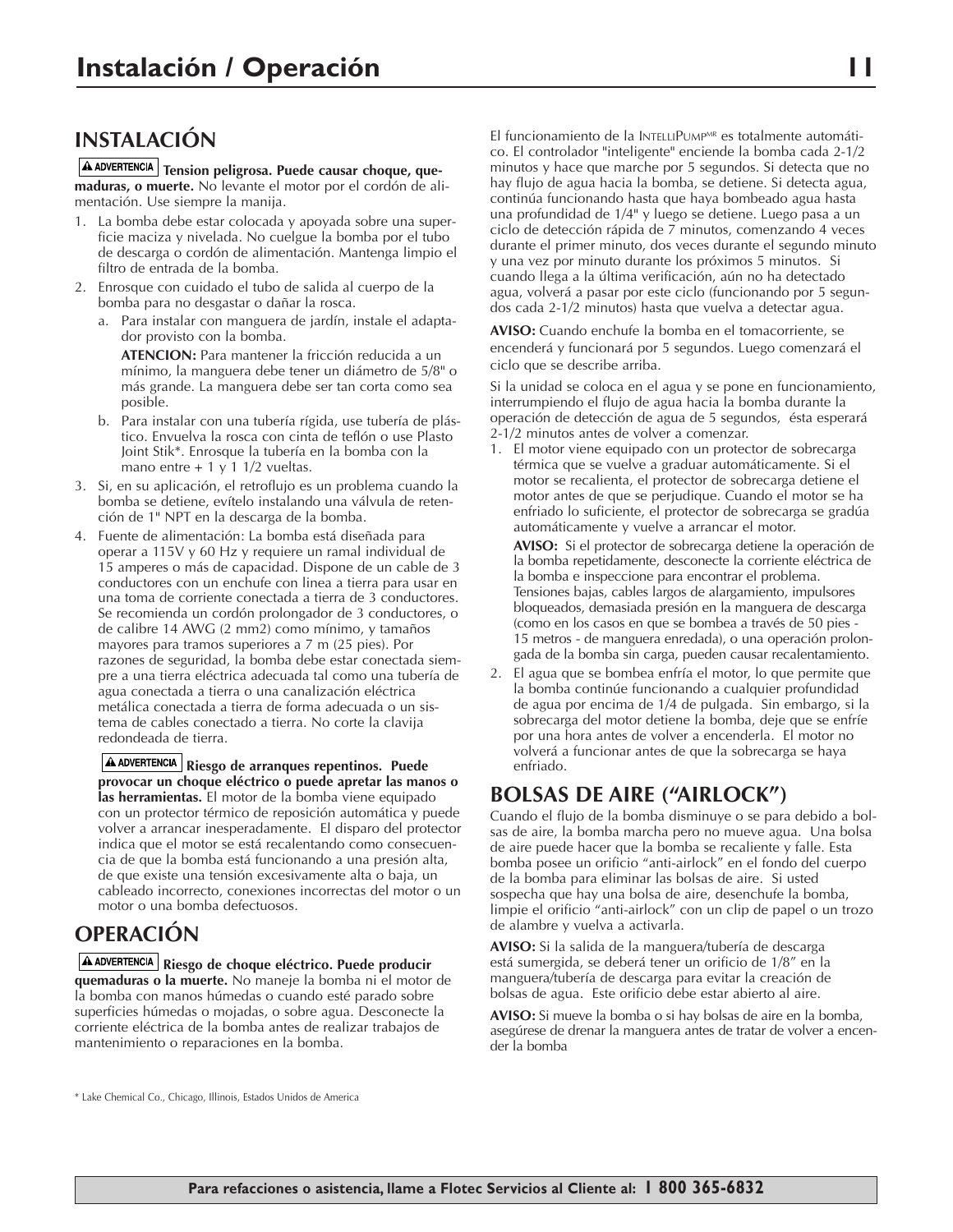# **INSTALACIÓN**

**A ADVERTENCIA** Tension peligrosa. Puede causar choque, que**maduras, o muerte.** No levante el motor por el cordón de alimentación. Use siempre la manija.

- 1. La bomba debe estar colocada y apoyada sobre una superficie maciza y nivelada. No cuelgue la bomba por el tubo de descarga o cordón de alimentación. Mantenga limpio el filtro de entrada de la bomba.
- 2. Enrosque con cuidado el tubo de salida al cuerpo de la bomba para no desgastar o dañar la rosca.
	- a. Para instalar con manguera de jardín, instale el adaptador provisto con la bomba.

**ATENCION:** Para mantener la fricción reducida a un mínimo, la manguera debe tener un diámetro de 5/8" o más grande. La manguera debe ser tan corta como sea posible.

- b. Para instalar con una tubería rígida, use tubería de plástico. Envuelva la rosca con cinta de teflón o use Plasto Joint Stik\*. Enrosque la tubería en la bomba con la mano entre  $+ 1$  y 1 1/2 vueltas.
- 3. Si, en su aplicación, el retroflujo es un problema cuando la bomba se detiene, evítelo instalando una válvula de retención de 1" NPT en la descarga de la bomba.
- 4. Fuente de alimentación: La bomba está diseñada para operar a 115V y 60 Hz y requiere un ramal individual de 15 amperes o más de capacidad. Dispone de un cable de 3 conductores con un enchufe con linea a tierra para usar en una toma de corriente conectada a tierra de 3 conductores. Se recomienda un cordón prolongador de 3 conductores, o de calibre 14 AWG (2 mm2) como mínimo, y tamaños mayores para tramos superiores a 7 m (25 pies). Por razones de seguridad, la bomba debe estar conectada siempre a una tierra eléctrica adecuada tal como una tubería de agua conectada a tierra o una canalización eléctrica metálica conectada a tierra de forma adecuada o un sistema de cables conectado a tierra. No corte la clavija redondeada de tierra.

**Riesgo de arranques repentinos. Puede provocar un choque eléctrico o puede apretar las manos o las herramientas.** El motor de la bomba viene equipado con un protector térmico de reposición automática y puede volver a arrancar inesperadamente. El disparo del protector indica que el motor se está recalentando como consecuencia de que la bomba está funcionando a una presión alta, de que existe una tensión excesivamente alta o baja, un cableado incorrecto, conexiones incorrectas del motor o un motor o una bomba defectuosos.

# **OPERACIÓN**

**Riesgo de choque eléctrico. Puede producir quemaduras o la muerte.** No maneje la bomba ni el motor de la bomba con manos húmedas o cuando esté parado sobre superficies húmedas o mojadas, o sobre agua. Desconecte la corriente eléctrica de la bomba antes de realizar trabajos de mantenimiento o reparaciones en la bomba.

El funcionamiento de la INTELLIPUMP<sup>MR</sup> es totalmente automático. El controlador "inteligente" enciende la bomba cada 2-1/2 minutos y hace que marche por 5 segundos. Si detecta que no hay flujo de agua hacia la bomba, se detiene. Si detecta agua, continúa funcionando hasta que haya bombeado agua hasta una profundidad de 1/4" y luego se detiene. Luego pasa a un ciclo de detección rápida de 7 minutos, comenzando 4 veces durante el primer minuto, dos veces durante el segundo minuto y una vez por minuto durante los próximos 5 minutos. Si cuando llega a la última verificación, aún no ha detectado agua, volverá a pasar por este ciclo (funcionando por 5 segundos cada 2-1/2 minutos) hasta que vuelva a detectar agua.

**AVISO:** Cuando enchufe la bomba en el tomacorriente, se encenderá y funcionará por 5 segundos. Luego comenzará el ciclo que se describe arriba.

Si la unidad se coloca en el agua y se pone en funcionamiento, interrumpiendo el flujo de agua hacia la bomba durante la operación de detección de agua de 5 segundos, ésta esperará 2-1/2 minutos antes de volver a comenzar.

1. El motor viene equipado con un protector de sobrecarga térmica que se vuelve a graduar automáticamente. Si el motor se recalienta, el protector de sobrecarga detiene el motor antes de que se perjudique. Cuando el motor se ha enfriado lo suficiente, el protector de sobrecarga se gradúa automáticamente y vuelve a arrancar el motor.

**AVISO:** Si el protector de sobrecarga detiene la operación de la bomba repetidamente, desconecte la corriente eléctrica de la bomba e inspeccione para encontrar el problema. Tensiones bajas, cables largos de alargamiento, impulsores bloqueados, demasiada presión en la manguera de descarga (como en los casos en que se bombea a través de 50 pies - 15 metros - de manguera enredada), o una operación prolongada de la bomba sin carga, pueden causar recalentamiento.

2. El agua que se bombea enfría el motor, lo que permite que la bomba continúe funcionando a cualquier profundidad de agua por encima de 1/4 de pulgada. Sin embargo, si la sobrecarga del motor detiene la bomba, deje que se enfríe por una hora antes de volver a encenderla. El motor no volverá a funcionar antes de que la sobrecarga se haya enfriado.

# **BOLSAS DE AIRE ("AIRLOCK")**

Cuando el flujo de la bomba disminuye o se para debido a bolsas de aire, la bomba marcha pero no mueve agua. Una bolsa de aire puede hacer que la bomba se recaliente y falle. Esta bomba posee un orificio "anti-airlock" en el fondo del cuerpo de la bomba para eliminar las bolsas de aire. Si usted sospecha que hay una bolsa de aire, desenchufe la bomba, limpie el orificio "anti-airlock" con un clip de papel o un trozo de alambre y vuelva a activarla.

**AVISO:** Si la salida de la manguera/tubería de descarga está sumergida, se deberá tener un orificio de 1/8" en la manguera/tubería de descarga para evitar la creación de bolsas de agua. Este orificio debe estar abierto al aire.

**AVISO:** Si mueve la bomba o si hay bolsas de aire en la bomba, asegúrese de drenar la manguera antes de tratar de volver a encender la bomba

<sup>\*</sup> Lake Chemical Co., Chicago, Illinois, Estados Unidos de America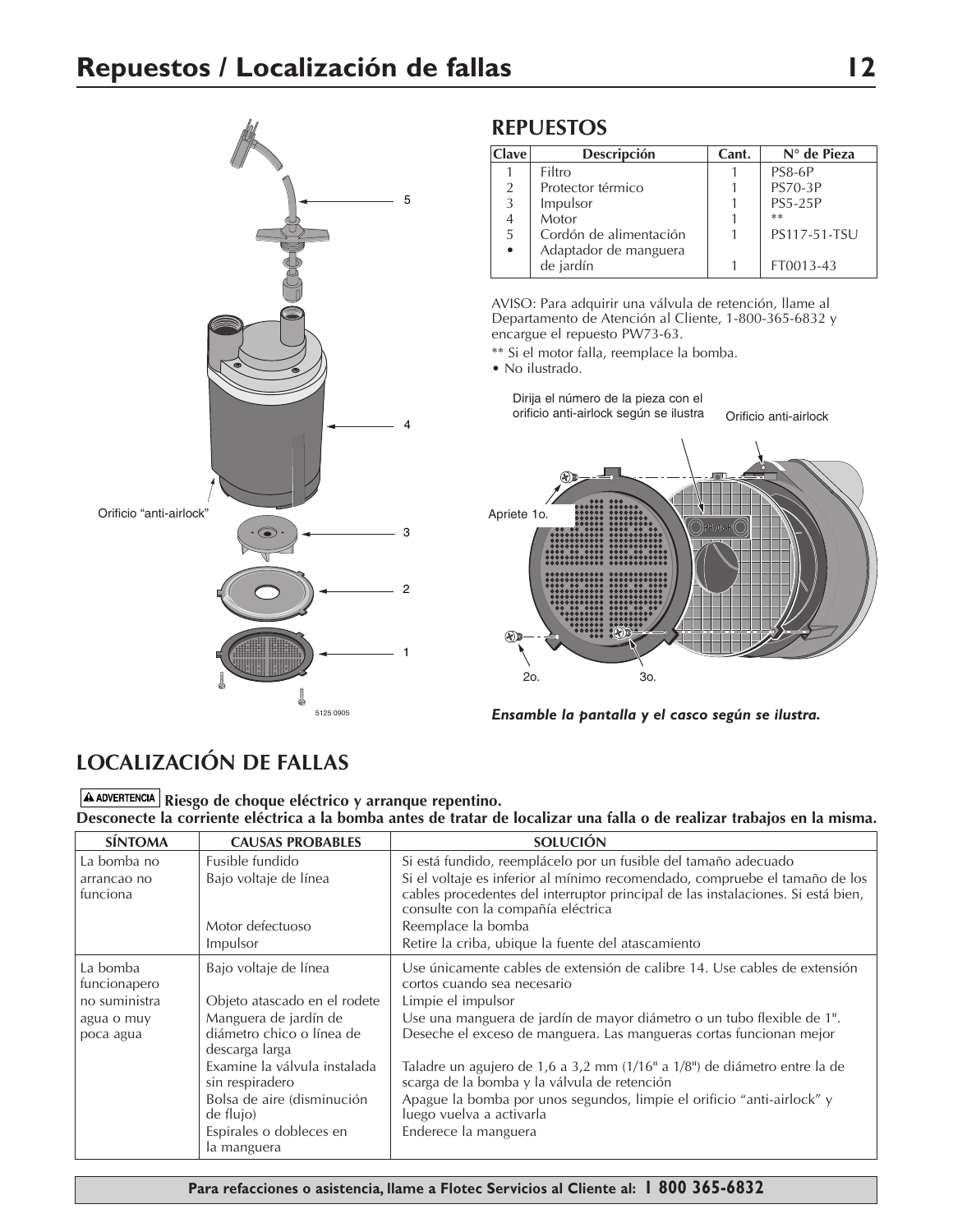

# **REPUESTOS**

| <b>Clave</b>   | Descripción            | Cant. | $N^{\circ}$ de Pieza |
|----------------|------------------------|-------|----------------------|
|                | Filtro                 |       | <b>PS8-6P</b>        |
| 2              | Protector térmico      |       | <b>PS70-3P</b>       |
| 3              | Impulsor               |       | <b>PS5-25P</b>       |
| $\overline{4}$ | Motor                  |       | $**$                 |
| .5             | Cordón de alimentación |       | PS117-51-TSU         |
|                | Adaptador de manguera  |       |                      |
|                | de jardín              |       | FT0013-43            |

AVISO: Para adquirir una válvula de retención, llame al Departamento de Atención al Cliente, 1-800-365-6832 y encargue el repuesto PW73-63.

\*\* Si el motor falla, reemplace la bomba.

• No ilustrado.

2o.

 $\circledast$ 

2o. 3o.

Dirija el número de la pieza con el



*Ensamble la pantalla y el casco según se ilustra.*

# **LOCALIZACIÓN DE FALLAS**

**A ADVERTENCIA** Riesgo de choque eléctrico y arranque repentino. **Desconecte la corriente eléctrica a la bomba antes de tratar de localizar una falla o de realizar trabajos en la misma.**

| <b>SÍNTOMA</b>           | <b>CAUSAS PROBABLES</b>                                              | <b>SOLUCIÓN</b>                                                                                                                                                                                       |
|--------------------------|----------------------------------------------------------------------|-------------------------------------------------------------------------------------------------------------------------------------------------------------------------------------------------------|
| La bomba no              | Fusible fundido                                                      | Si está fundido, reemplácelo por un fusible del tamaño adecuado                                                                                                                                       |
| arrancao no<br>funciona  | Bajo voltaje de línea                                                | Si el voltaje es inferior al mínimo recomendado, compruebe el tamaño de los<br>cables procedentes del interruptor principal de las instalaciones. Si está bien,<br>consulte con la compañía eléctrica |
|                          | Motor defectuoso                                                     | Reemplace la bomba                                                                                                                                                                                    |
|                          | Impulsor                                                             | Retire la criba, ubique la fuente del atascamiento                                                                                                                                                    |
| La bomba<br>funcionapero | Bajo voltaje de línea                                                | Use únicamente cables de extensión de calibre 14. Use cables de extensión<br>cortos cuando sea necesario                                                                                              |
| no suministra            | Objeto atascado en el rodete                                         | Limpie el impulsor                                                                                                                                                                                    |
| agua o muy<br>poca agua  | Manguera de jardín de<br>diámetro chico o línea de<br>descarga larga | Use una manguera de jardín de mayor diámetro o un tubo flexible de 1".<br>Deseche el exceso de manguera. Las mangueras cortas funcionan mejor                                                         |
|                          | Examine la válvula instalada<br>sin respiradero                      | Taladre un agujero de 1,6 a 3,2 mm (1/16" a 1/8") de diámetro entre la de<br>scarga de la bomba y la válvula de retención                                                                             |
|                          | Bolsa de aire (disminución<br>de flujo)                              | Apague la bomba por unos segundos, limpie el orificio "anti-airlock" y<br>luego vuelva a activarla                                                                                                    |
|                          | Espirales o dobleces en<br>la manguera                               | Enderece la manguera                                                                                                                                                                                  |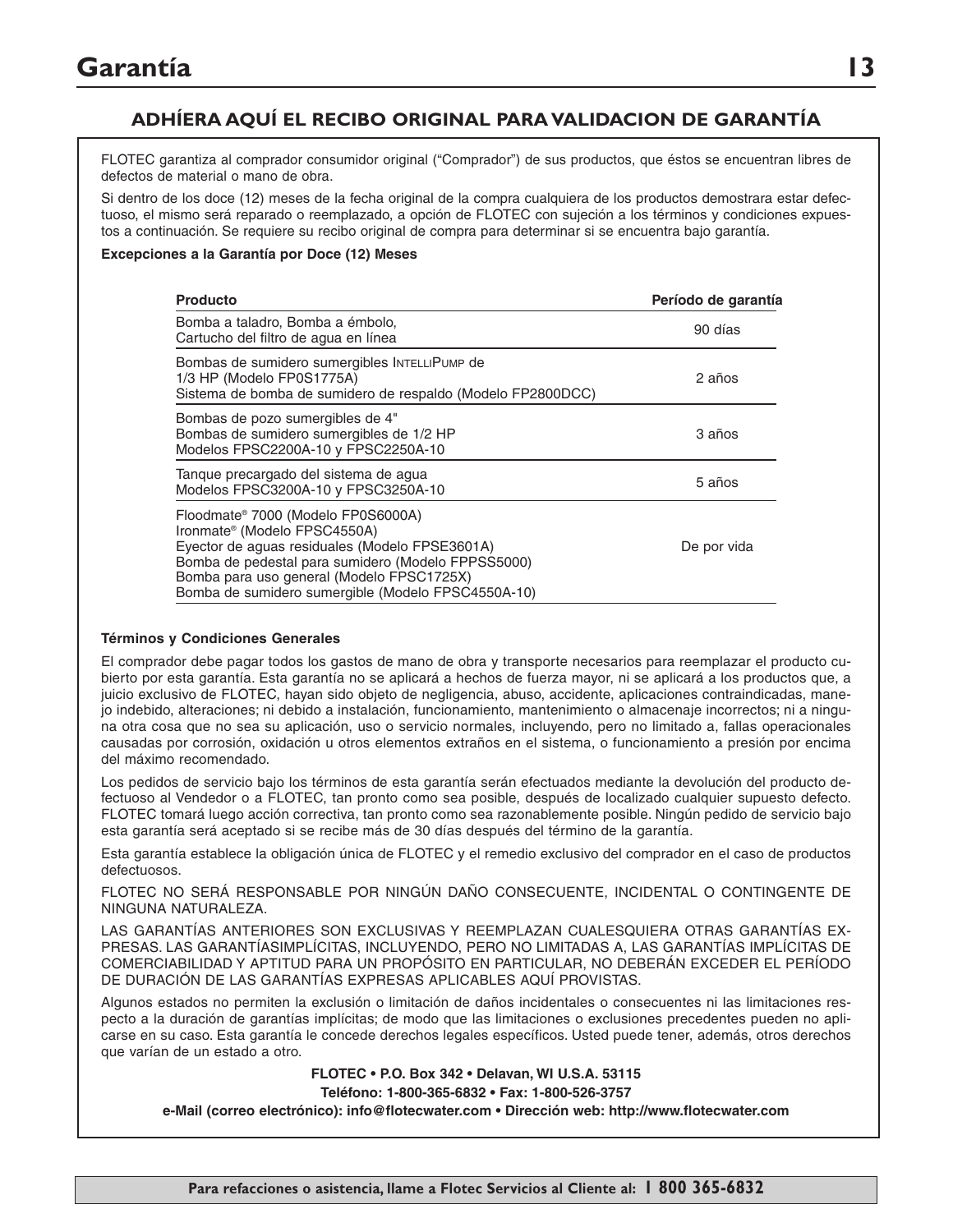# **ADHÍERA AQUÍ EL RECIBO ORIGINAL PARA VALIDACION DE GARANTÍA**

FLOTEC garantiza al comprador consumidor original ("Comprador") de sus productos, que éstos se encuentran libres de defectos de material o mano de obra.

Si dentro de los doce (12) meses de la fecha original de la compra cualquiera de los productos demostrara estar defectuoso, el mismo será reparado o reemplazado, a opción de FLOTEC con sujeción a los términos y condiciones expuestos a continuación. Se requiere su recibo original de compra para determinar si se encuentra bajo garantía.

#### **Excepciones a la Garantía por Doce (12) Meses**

| <b>Producto</b>                                                                                                                                                                                                                                                                           | Período de garantía |
|-------------------------------------------------------------------------------------------------------------------------------------------------------------------------------------------------------------------------------------------------------------------------------------------|---------------------|
| Bomba a taladro, Bomba a émbolo,<br>Cartucho del filtro de agua en línea                                                                                                                                                                                                                  | 90 días             |
| Bombas de sumidero sumergibles INTELLIPUMP de<br>1/3 HP (Modelo FP0S1775A)<br>Sistema de bomba de sumidero de respaldo (Modelo FP2800DCC)                                                                                                                                                 | 2 años              |
| Bombas de pozo sumergibles de 4"<br>Bombas de sumidero sumergibles de 1/2 HP<br>Modelos FPSC2200A-10 y FPSC2250A-10                                                                                                                                                                       | 3 años              |
| Tanque precargado del sistema de agua<br>Modelos FPSC3200A-10 y FPSC3250A-10                                                                                                                                                                                                              | 5 años              |
| Floodmate® 7000 (Modelo FP0S6000A)<br>Ironmate <sup>®</sup> (Modelo FPSC4550A)<br>Eyector de aguas residuales (Modelo FPSE3601A)<br>Bomba de pedestal para sumidero (Modelo FPPSS5000)<br>Bomba para uso general (Modelo FPSC1725X)<br>Bomba de sumidero sumergible (Modelo FPSC4550A-10) | De por vida         |

#### **Términos y Condiciones Generales**

El comprador debe pagar todos los gastos de mano de obra y transporte necesarios para reemplazar el producto cubierto por esta garantía. Esta garantía no se aplicará a hechos de fuerza mayor, ni se aplicará a los productos que, a juicio exclusivo de FLOTEC, hayan sido objeto de negligencia, abuso, accidente, aplicaciones contraindicadas, manejo indebido, alteraciones; ni debido a instalación, funcionamiento, mantenimiento o almacenaje incorrectos; ni a ninguna otra cosa que no sea su aplicación, uso o servicio normales, incluyendo, pero no limitado a, fallas operacionales causadas por corrosión, oxidación u otros elementos extraños en el sistema, o funcionamiento a presión por encima del máximo recomendado.

Los pedidos de servicio bajo los términos de esta garantía serán efectuados mediante la devolución del producto defectuoso al Vendedor o a FLOTEC, tan pronto como sea posible, después de localizado cualquier supuesto defecto. FLOTEC tomará luego acción correctiva, tan pronto como sea razonablemente posible. Ningún pedido de servicio bajo esta garantía será aceptado si se recibe más de 30 días después del término de la garantía.

Esta garantía establece la obligación única de FLOTEC y el remedio exclusivo del comprador en el caso de productos defectuosos.

FLOTEC NO SERÁ RESPONSABLE POR NINGÚN DAÑO CONSECUENTE, INCIDENTAL O CONTINGENTE DE NINGUNA NATURALEZA.

LAS GARANTÍAS ANTERIORES SON EXCLUSIVAS Y REEMPLAZAN CUALESQUIERA OTRAS GARANTÍAS EX-PRESAS. LAS GARANTÍASIMPLÍCITAS, INCLUYENDO, PERO NO LIMITADAS A, LAS GARANTÍAS IMPLÍCITAS DE COMERCIABILIDAD Y APTITUD PARA UN PROPÓSITO EN PARTICULAR, NO DEBERÁN EXCEDER EL PERÍODO DE DURACIÓN DE LAS GARANTÍAS EXPRESAS APLICABLES AQUÍ PROVISTAS.

Algunos estados no permiten la exclusión o limitación de daños incidentales o consecuentes ni las limitaciones respecto a la duración de garantías implícitas; de modo que las limitaciones o exclusiones precedentes pueden no aplicarse en su caso. Esta garantía le concede derechos legales específicos. Usted puede tener, además, otros derechos que varían de un estado a otro.

**FLOTEC • P.O. Box 342 • Delavan, WI U.S.A. 53115**

**Teléfono: 1-800-365-6832 • Fax: 1-800-526-3757**

**e-Mail (correo electrónico): info@flotecwater.com • Dirección web: http://www.flotecwater.com**